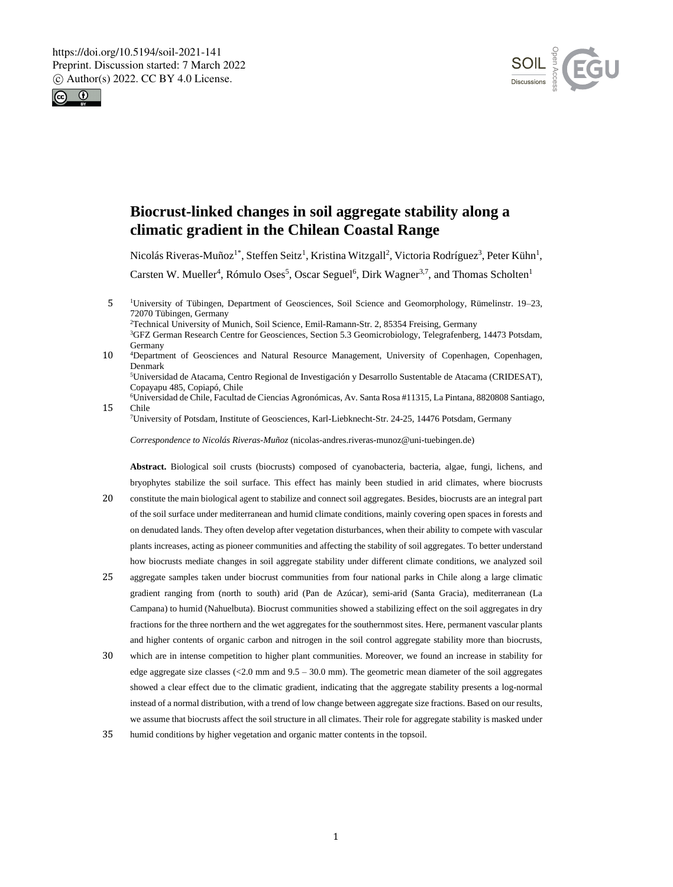



# **Biocrust-linked changes in soil aggregate stability along a climatic gradient in the Chilean Coastal Range**

Nicolás Riveras-Muñoz<sup>1\*</sup>, Steffen Seitz<sup>1</sup>, Kristina Witzgall<sup>2</sup>, Victoria Rodríguez<sup>3</sup>, Peter Kühn<sup>1</sup>, Carsten W. Mueller<sup>4</sup>, Rómulo Oses<sup>5</sup>, Oscar Seguel<sup>6</sup>, Dirk Wagner<sup>3,7</sup>, and Thomas Scholten<sup>1</sup>

5 <sup>1</sup>University of Tübingen, Department of Geosciences, Soil Science and Geomorphology, Rümelinstr. 19–23, 72070 Tübingen, Germany

<sup>2</sup>Technical University of Munich, Soil Science, Emil-Ramann-Str. 2, 85354 Freising, Germany

<sup>3</sup>GFZ German Research Centre for Geosciences, Section 5.3 Geomicrobiology, Telegrafenberg, 14473 Potsdam, Germany

10 <sup>4</sup>Department of Geosciences and Natural Resource Management, University of Copenhagen, Copenhagen, Denmark

<sup>5</sup>Universidad de Atacama, Centro Regional de Investigación y Desarrollo Sustentable de Atacama (CRIDESAT), Copayapu 485, Copiapó, Chile

<sup>6</sup>Universidad de Chile, Facultad de Ciencias Agronómicas, Av. Santa Rosa #11315, La Pintana, 8820808 Santiago, 15 Chile

<sup>7</sup>University of Potsdam, Institute of Geosciences, Karl-Liebknecht-Str. 24-25, 14476 Potsdam, Germany

*Correspondence to Nicolás Riveras-Muñoz* (nicolas-andres.riveras-munoz@uni-tuebingen.de)

**Abstract.** Biological soil crusts (biocrusts) composed of cyanobacteria, bacteria, algae, fungi, lichens, and bryophytes stabilize the soil surface. This effect has mainly been studied in arid climates, where biocrusts 20 constitute the main biological agent to stabilize and connect soil aggregates. Besides, biocrusts are an integral part of the soil surface under mediterranean and humid climate conditions, mainly covering open spaces in forests and

- on denudated lands. They often develop after vegetation disturbances, when their ability to compete with vascular plants increases, acting as pioneer communities and affecting the stability of soil aggregates. To better understand how biocrusts mediate changes in soil aggregate stability under different climate conditions, we analyzed soil
- 25 aggregate samples taken under biocrust communities from four national parks in Chile along a large climatic gradient ranging from (north to south) arid (Pan de Azúcar), semi-arid (Santa Gracia), mediterranean (La Campana) to humid (Nahuelbuta). Biocrust communities showed a stabilizing effect on the soil aggregates in dry fractions for the three northern and the wet aggregates for the southernmost sites. Here, permanent vascular plants and higher contents of organic carbon and nitrogen in the soil control aggregate stability more than biocrusts,
- 30 which are in intense competition to higher plant communities. Moreover, we found an increase in stability for edge aggregate size classes  $(<2.0 \text{ mm}$  and  $9.5 - 30.0 \text{ mm}$ ). The geometric mean diameter of the soil aggregates showed a clear effect due to the climatic gradient, indicating that the aggregate stability presents a log-normal instead of a normal distribution, with a trend of low change between aggregate size fractions. Based on our results, we assume that biocrusts affect the soil structure in all climates. Their role for aggregate stability is masked under
- 35 humid conditions by higher vegetation and organic matter contents in the topsoil.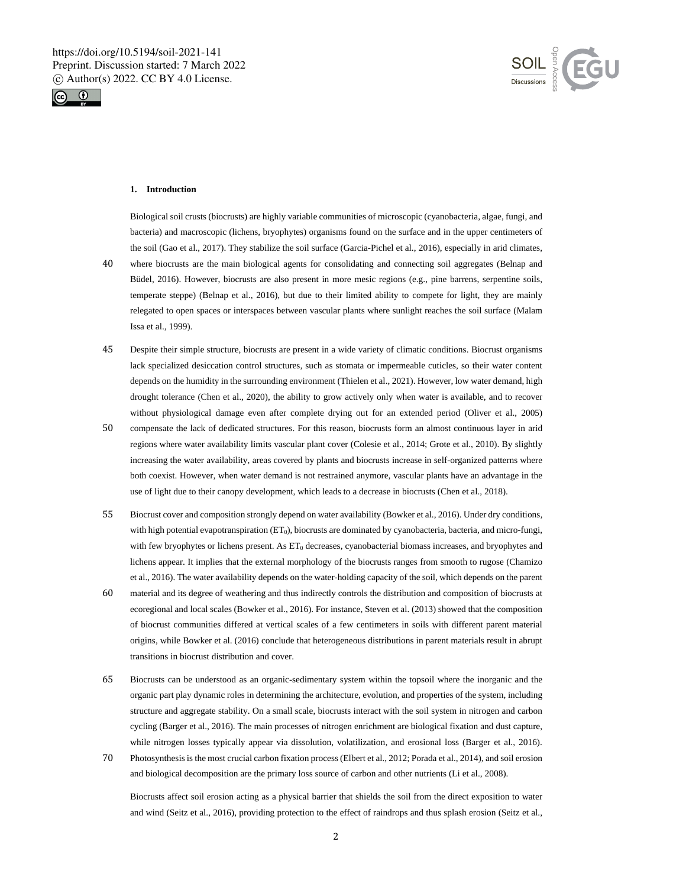



## **1. Introduction**

Issa et al., 1999).

Biological soil crusts (biocrusts) are highly variable communities of microscopic (cyanobacteria, algae, fungi, and bacteria) and macroscopic (lichens, bryophytes) organisms found on the surface and in the upper centimeters of the soil (Gao et al., 2017). They stabilize the soil surface (Garcia-Pichel et al., 2016), especially in arid climates, 40 where biocrusts are the main biological agents for consolidating and connecting soil aggregates (Belnap and Büdel, 2016). However, biocrusts are also present in more mesic regions (e.g., pine barrens, serpentine soils, temperate steppe) (Belnap et al., 2016), but due to their limited ability to compete for light, they are mainly

relegated to open spaces or interspaces between vascular plants where sunlight reaches the soil surface (Malam

- 45 Despite their simple structure, biocrusts are present in a wide variety of climatic conditions. Biocrust organisms lack specialized desiccation control structures, such as stomata or impermeable cuticles, so their water content depends on the humidity in the surrounding environment (Thielen et al., 2021). However, low water demand, high drought tolerance (Chen et al., 2020), the ability to grow actively only when water is available, and to recover without physiological damage even after complete drying out for an extended period (Oliver et al., 2005)
- 50 compensate the lack of dedicated structures. For this reason, biocrusts form an almost continuous layer in arid regions where water availability limits vascular plant cover (Colesie et al., 2014; Grote et al., 2010). By slightly increasing the water availability, areas covered by plants and biocrusts increase in self-organized patterns where both coexist. However, when water demand is not restrained anymore, vascular plants have an advantage in the use of light due to their canopy development, which leads to a decrease in biocrusts (Chen et al., 2018).
- 55 Biocrust cover and composition strongly depend on water availability (Bowker et al., 2016). Under dry conditions, with high potential evapotranspiration (ET<sub>0</sub>), biocrusts are dominated by cyanobacteria, bacteria, and micro-fungi, with few bryophytes or lichens present. As ET<sub>0</sub> decreases, cyanobacterial biomass increases, and bryophytes and lichens appear. It implies that the external morphology of the biocrusts ranges from smooth to rugose (Chamizo et al., 2016). The water availability depends on the water-holding capacity of the soil, which depends on the parent
- 60 material and its degree of weathering and thus indirectly controls the distribution and composition of biocrusts at ecoregional and local scales (Bowker et al., 2016). For instance, Steven et al. (2013) showed that the composition of biocrust communities differed at vertical scales of a few centimeters in soils with different parent material origins, while Bowker et al. (2016) conclude that heterogeneous distributions in parent materials result in abrupt transitions in biocrust distribution and cover.
- 65 Biocrusts can be understood as an organic-sedimentary system within the topsoil where the inorganic and the organic part play dynamic roles in determining the architecture, evolution, and properties of the system, including structure and aggregate stability. On a small scale, biocrusts interact with the soil system in nitrogen and carbon cycling (Barger et al., 2016). The main processes of nitrogen enrichment are biological fixation and dust capture, while nitrogen losses typically appear via dissolution, volatilization, and erosional loss (Barger et al., 2016).
- 70 Photosynthesis is the most crucial carbon fixation process (Elbert et al., 2012; Porada et al., 2014), and soil erosion and biological decomposition are the primary loss source of carbon and other nutrients (Li et al., 2008).

Biocrusts affect soil erosion acting as a physical barrier that shields the soil from the direct exposition to water and wind (Seitz et al., 2016), providing protection to the effect of raindrops and thus splash erosion (Seitz et al.,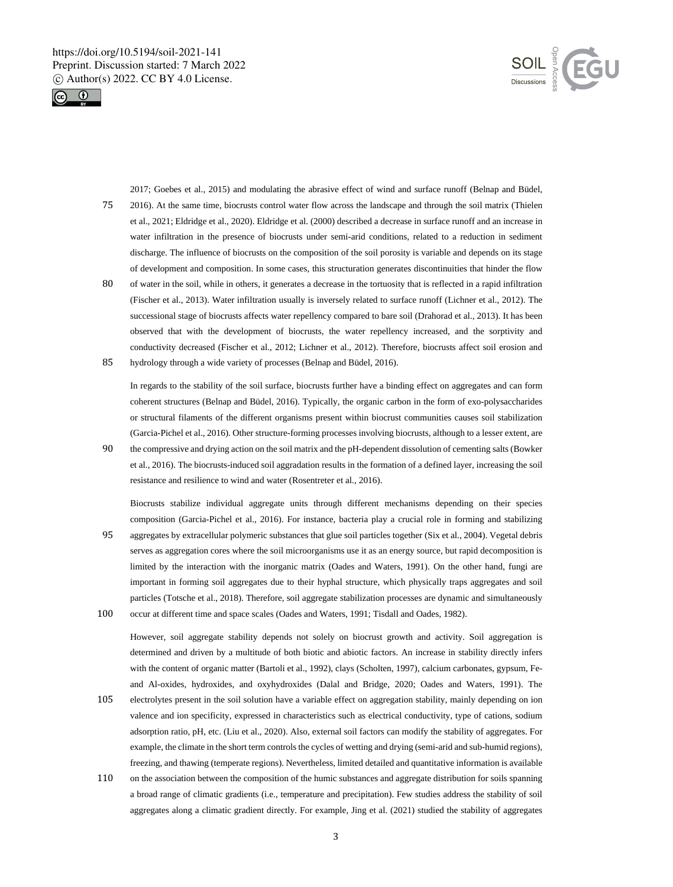



2017; Goebes et al., 2015) and modulating the abrasive effect of wind and surface runoff (Belnap and Büdel, 75 2016). At the same time, biocrusts control water flow across the landscape and through the soil matrix (Thielen et al., 2021; Eldridge et al., 2020). Eldridge et al. (2000) described a decrease in surface runoff and an increase in water infiltration in the presence of biocrusts under semi-arid conditions, related to a reduction in sediment discharge. The influence of biocrusts on the composition of the soil porosity is variable and depends on its stage of development and composition. In some cases, this structuration generates discontinuities that hinder the flow

80 of water in the soil, while in others, it generates a decrease in the tortuosity that is reflected in a rapid infiltration (Fischer et al., 2013). Water infiltration usually is inversely related to surface runoff (Lichner et al., 2012). The successional stage of biocrusts affects water repellency compared to bare soil (Drahorad et al., 2013). It has been observed that with the development of biocrusts, the water repellency increased, and the sorptivity and conductivity decreased (Fischer et al., 2012; Lichner et al., 2012). Therefore, biocrusts affect soil erosion and 85 hydrology through a wide variety of processes (Belnap and Büdel, 2016).

In regards to the stability of the soil surface, biocrusts further have a binding effect on aggregates and can form coherent structures (Belnap and Büdel, 2016). Typically, the organic carbon in the form of exo-polysaccharides or structural filaments of the different organisms present within biocrust communities causes soil stabilization (Garcia-Pichel et al., 2016). Other structure-forming processes involving biocrusts, although to a lesser extent, are

90 the compressive and drying action on the soil matrix and the pH-dependent dissolution of cementing salts(Bowker et al., 2016). The biocrusts-induced soil aggradation results in the formation of a defined layer, increasing the soil resistance and resilience to wind and water (Rosentreter et al., 2016).

Biocrusts stabilize individual aggregate units through different mechanisms depending on their species composition (Garcia-Pichel et al., 2016). For instance, bacteria play a crucial role in forming and stabilizing 95 aggregates by extracellular polymeric substances that glue soil particles together (Six et al., 2004). Vegetal debris serves as aggregation cores where the soil microorganisms use it as an energy source, but rapid decomposition is limited by the interaction with the inorganic matrix (Oades and Waters, 1991). On the other hand, fungi are important in forming soil aggregates due to their hyphal structure, which physically traps aggregates and soil particles (Totsche et al., 2018). Therefore, soil aggregate stabilization processes are dynamic and simultaneously 100 occur at different time and space scales (Oades and Waters, 1991; Tisdall and Oades, 1982).

However, soil aggregate stability depends not solely on biocrust growth and activity. Soil aggregation is determined and driven by a multitude of both biotic and abiotic factors. An increase in stability directly infers with the content of organic matter (Bartoli et al., 1992), clays (Scholten, 1997), calcium carbonates, gypsum, Feand Al-oxides, hydroxides, and oxyhydroxides (Dalal and Bridge, 2020; Oades and Waters, 1991). The

- 105 electrolytes present in the soil solution have a variable effect on aggregation stability, mainly depending on ion valence and ion specificity, expressed in characteristics such as electrical conductivity, type of cations, sodium adsorption ratio, pH, etc. (Liu et al., 2020). Also, external soil factors can modify the stability of aggregates. For example, the climate in the short term controls the cycles of wetting and drying (semi-arid and sub-humid regions), freezing, and thawing (temperate regions). Nevertheless, limited detailed and quantitative information is available
- 110 on the association between the composition of the humic substances and aggregate distribution for soils spanning a broad range of climatic gradients (i.e., temperature and precipitation). Few studies address the stability of soil aggregates along a climatic gradient directly. For example, Jing et al. (2021) studied the stability of aggregates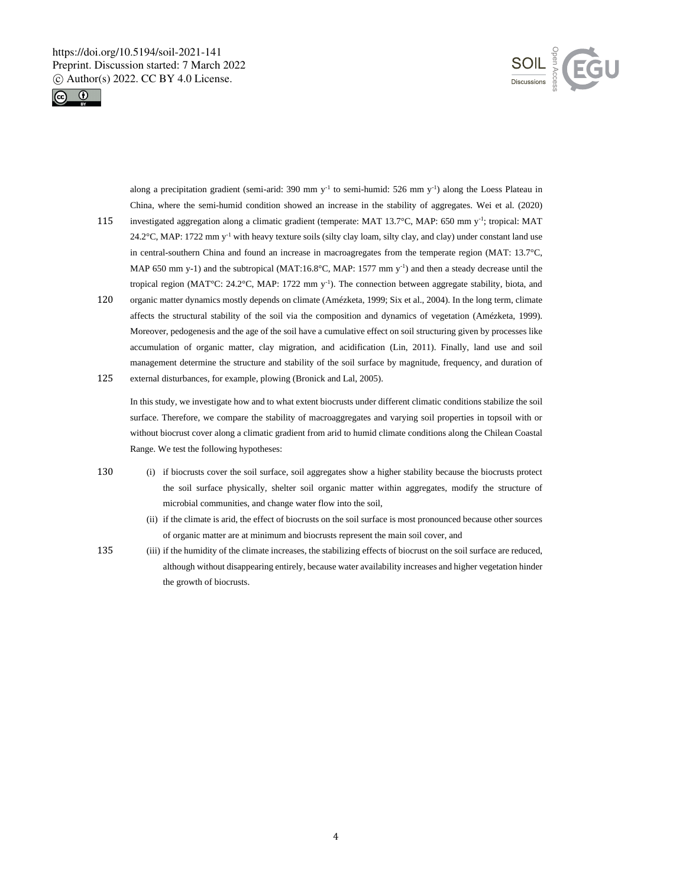



along a precipitation gradient (semi-arid: 390 mm  $y^{-1}$  to semi-humid: 526 mm  $y^{-1}$ ) along the Loess Plateau in China, where the semi-humid condition showed an increase in the stability of aggregates. Wei et al. (2020) 115 investigated aggregation along a climatic gradient (temperate: MAT 13.7°C, MAP: 650 mm y<sup>-1</sup>; tropical: MAT

- 24.2°C, MAP: 1722 mm  $y^{-1}$  with heavy texture soils (silty clay loam, silty clay, and clay) under constant land use in central-southern China and found an increase in macroagregates from the temperate region (MAT: 13.7°C, MAP 650 mm y-1) and the subtropical (MAT:16.8 $^{\circ}$ C, MAP: 1577 mm y<sup>-1</sup>) and then a steady decrease until the tropical region  $(MAT^{\circ}C: 24.2^{\circ}C, MAP: 1722 \text{ mm y}^{-1})$ . The connection between aggregate stability, biota, and
- 120 organic matter dynamics mostly depends on climate (Amézketa, 1999; Six et al., 2004). In the long term, climate affects the structural stability of the soil via the composition and dynamics of vegetation (Amézketa, 1999). Moreover, pedogenesis and the age of the soil have a cumulative effect on soil structuring given by processes like accumulation of organic matter, clay migration, and acidification (Lin, 2011). Finally, land use and soil management determine the structure and stability of the soil surface by magnitude, frequency, and duration of 125 external disturbances, for example, plowing (Bronick and Lal, 2005).

In this study, we investigate how and to what extent biocrusts under different climatic conditions stabilize the soil surface. Therefore, we compare the stability of macroaggregates and varying soil properties in topsoil with or without biocrust cover along a climatic gradient from arid to humid climate conditions along the Chilean Coastal Range. We test the following hypotheses:

- 130 (i) if biocrusts cover the soil surface, soil aggregates show a higher stability because the biocrusts protect the soil surface physically, shelter soil organic matter within aggregates, modify the structure of microbial communities, and change water flow into the soil,
	- (ii) if the climate is arid, the effect of biocrusts on the soil surface is most pronounced because other sources of organic matter are at minimum and biocrusts represent the main soil cover, and
- 135 (iii) if the humidity of the climate increases, the stabilizing effects of biocrust on the soil surface are reduced, although without disappearing entirely, because water availability increases and higher vegetation hinder the growth of biocrusts.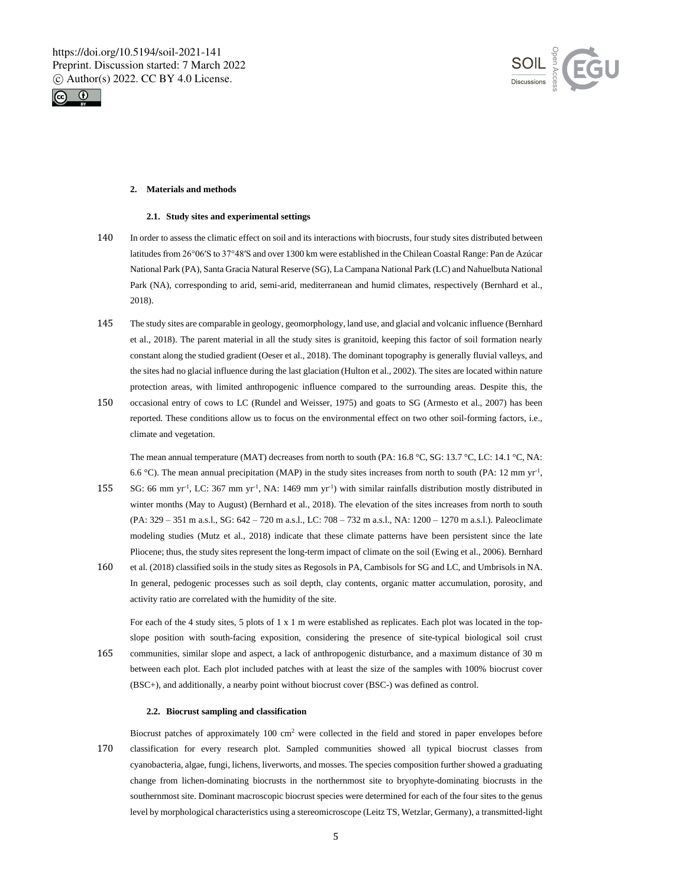



## **2. Materials and methods**

#### **2.1. Study sites and experimental settings**

- 140 In order to assess the climatic effect on soil and its interactions with biocrusts, four study sites distributed between latitudes from 26°06′S to 37°48′S and over 1300 km were established in the Chilean Coastal Range: Pan de Azúcar National Park (PA), Santa Gracia Natural Reserve (SG), La Campana National Park (LC) and Nahuelbuta National Park (NA), corresponding to arid, semi-arid, mediterranean and humid climates, respectively (Bernhard et al., 2018).
- 145 The study sites are comparable in geology, geomorphology, land use, and glacial and volcanic influence (Bernhard et al., 2018). The parent material in all the study sites is granitoid, keeping this factor of soil formation nearly constant along the studied gradient (Oeser et al., 2018). The dominant topography is generally fluvial valleys, and the sites had no glacial influence during the last glaciation (Hulton et al., 2002). The sites are located within nature protection areas, with limited anthropogenic influence compared to the surrounding areas. Despite this, the
- 150 occasional entry of cows to LC (Rundel and Weisser, 1975) and goats to SG (Armesto et al., 2007) has been reported. These conditions allow us to focus on the environmental effect on two other soil-forming factors, i.e., climate and vegetation.

The mean annual temperature (MAT) decreases from north to south (PA: 16.8 °C, SG: 13.7 °C, LC: 14.1 °C, NA: 6.6 °C). The mean annual precipitation (MAP) in the study sites increases from north to south (PA: 12 mm yr<sup>-1</sup>,

- 155 SG: 66 mm yr<sup>-1</sup>, LC: 367 mm yr<sup>-1</sup>, NA: 1469 mm yr<sup>-1</sup>) with similar rainfalls distribution mostly distributed in winter months (May to August) (Bernhard et al., 2018). The elevation of the sites increases from north to south (PA: 329 – 351 m a.s.l., SG: 642 – 720 m a.s.l., LC: 708 – 732 m a.s.l., NA: 1200 – 1270 m a.s.l.). Paleoclimate modeling studies (Mutz et al., 2018) indicate that these climate patterns have been persistent since the late Pliocene; thus, the study sites represent the long-term impact of climate on the soil (Ewing et al., 2006). Bernhard
- 160 et al. (2018) classified soils in the study sites as Regosols in PA, Cambisols for SG and LC, and Umbrisols in NA. In general, pedogenic processes such as soil depth, clay contents, organic matter accumulation, porosity, and activity ratio are correlated with the humidity of the site.

For each of the 4 study sites, 5 plots of 1 x 1 m were established as replicates. Each plot was located in the topslope position with south-facing exposition, considering the presence of site-typical biological soil crust 165 communities, similar slope and aspect, a lack of anthropogenic disturbance, and a maximum distance of 30 m between each plot. Each plot included patches with at least the size of the samples with 100% biocrust cover (BSC+), and additionally, a nearby point without biocrust cover (BSC-) was defined as control.

#### **2.2. Biocrust sampling and classification**

Biocrust patches of approximately  $100 \text{ cm}^2$  were collected in the field and stored in paper envelopes before 170 classification for every research plot. Sampled communities showed all typical biocrust classes from cyanobacteria, algae, fungi, lichens, liverworts, and mosses. The species composition further showed a graduating change from lichen-dominating biocrusts in the northernmost site to bryophyte-dominating biocrusts in the southernmost site. Dominant macroscopic biocrust species were determined for each of the four sites to the genus level by morphological characteristics using a stereomicroscope (Leitz TS, Wetzlar, Germany), a transmitted-light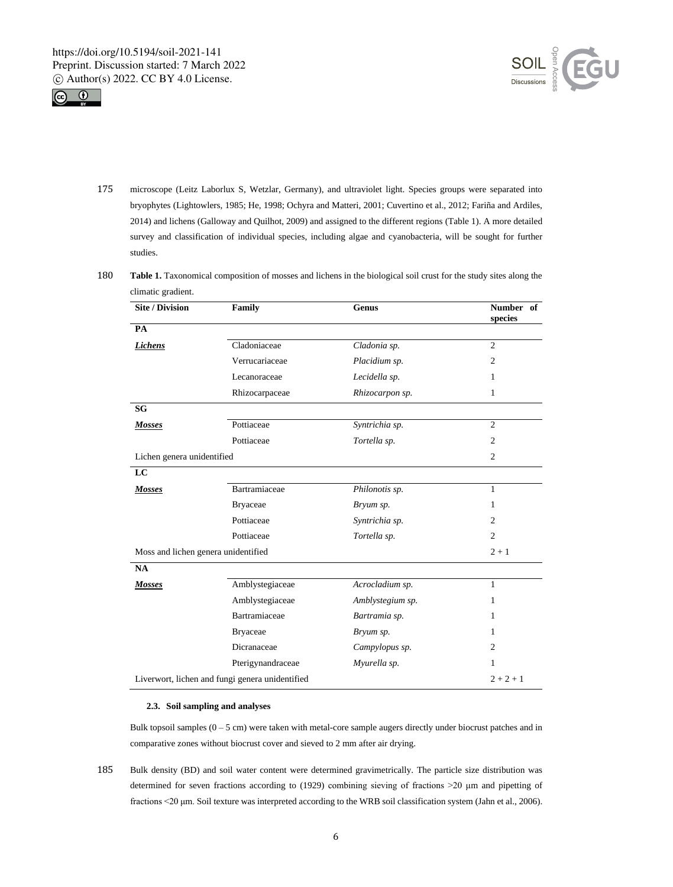



- 175 microscope (Leitz Laborlux S, Wetzlar, Germany), and ultraviolet light. Species groups were separated into bryophytes (Lightowlers, 1985; He, 1998; Ochyra and Matteri, 2001; Cuvertino et al., 2012; Fariña and Ardiles, 2014) and lichens (Galloway and Quilhot, 2009) and assigned to the different regions (Table 1). A more detailed survey and classification of individual species, including algae and cyanobacteria, will be sought for further studies.
- 180 Table 1. Taxonomical composition of mosses and lichens in the biological soil crust for the study sites along the climatic gradient.

| <b>Site / Division</b>              | Family                                          | Genus            | Number of<br>species |
|-------------------------------------|-------------------------------------------------|------------------|----------------------|
| PA                                  |                                                 |                  |                      |
| <b>Lichens</b>                      | Cladoniaceae                                    | Cladonia sp.     | $\overline{2}$       |
|                                     | Verrucariaceae                                  | Placidium sp.    | 2                    |
|                                     | Lecanoraceae                                    | Lecidella sp.    | 1                    |
|                                     | Rhizocarpaceae                                  | Rhizocarpon sp.  | 1                    |
| <b>SG</b>                           |                                                 |                  |                      |
| <b>Mosses</b>                       | Pottiaceae                                      | Syntrichia sp.   | $\overline{c}$       |
|                                     | Pottiaceae                                      | Tortella sp.     | $\overline{2}$       |
| Lichen genera unidentified          |                                                 |                  | $\overline{2}$       |
| LC                                  |                                                 |                  |                      |
| <b>Mosses</b>                       | Bartramiaceae                                   | Philonotis sp.   | 1                    |
|                                     | <b>Bryaceae</b>                                 | Bryum sp.        | 1.                   |
|                                     | Pottiaceae                                      | Syntrichia sp.   | 2                    |
|                                     | Pottiaceae                                      | Tortella sp.     | $\overline{2}$       |
| Moss and lichen genera unidentified |                                                 |                  | $2 + 1$              |
| NA                                  |                                                 |                  |                      |
| Mosses                              | Amblystegiaceae                                 | Acrocladium sp.  | $\mathbf{1}$         |
|                                     | Amblystegiaceae                                 | Amblystegium sp. | 1                    |
|                                     | Bartramiaceae                                   | Bartramia sp.    | 1                    |
|                                     | <b>Bryaceae</b>                                 | Bryum sp.        | 1                    |
|                                     | Dicranaceae                                     | Campylopus sp.   | 2                    |
|                                     | Pterigynandraceae                               | Myurella sp.     | 1                    |
|                                     | Liverwort, lichen and fungi genera unidentified |                  | $2 + 2 + 1$          |

#### **2.3. Soil sampling and analyses**

Bulk topsoil samples  $(0 - 5 \text{ cm})$  were taken with metal-core sample augers directly under biocrust patches and in comparative zones without biocrust cover and sieved to 2 mm after air drying.

185 Bulk density (BD) and soil water content were determined gravimetrically. The particle size distribution was determined for seven fractions according to (1929) combining sieving of fractions >20 μm and pipetting of fractions <20 μm. Soil texture was interpreted according to the WRB soil classification system (Jahn et al., 2006).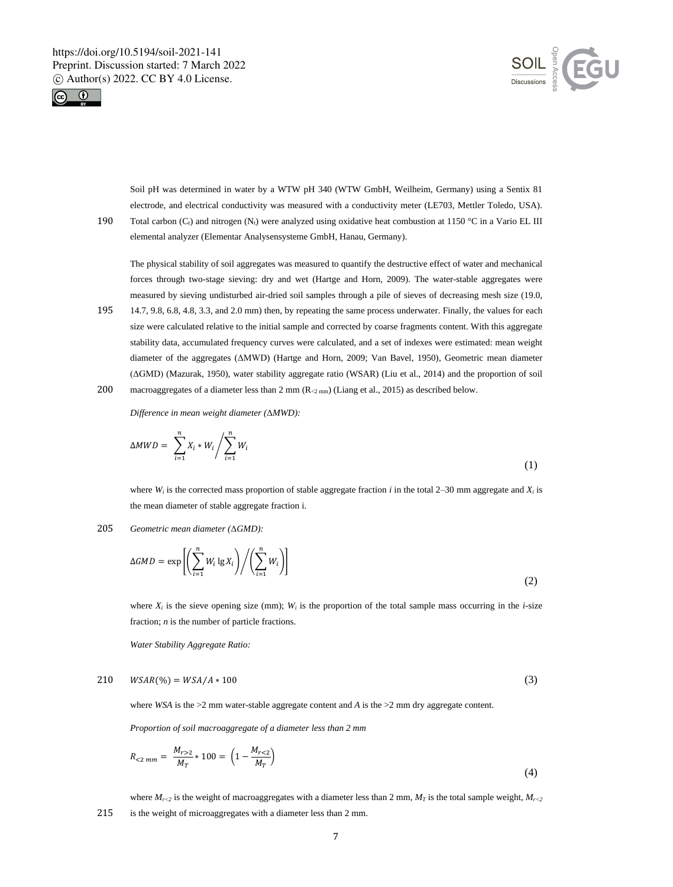



Soil pH was determined in water by a WTW pH 340 (WTW GmbH, Weilheim, Germany) using a Sentix 81 electrode, and electrical conductivity was measured with a conductivity meter (LE703, Mettler Toledo, USA). 190 Total carbon (C<sub>t</sub>) and nitrogen (N<sub>t</sub>) were analyzed using oxidative heat combustion at 1150 °C in a Vario EL III

elemental analyzer (Elementar Analysensysteme GmbH, Hanau, Germany).

The physical stability of soil aggregates was measured to quantify the destructive effect of water and mechanical forces through two-stage sieving: dry and wet (Hartge and Horn, 2009). The water-stable aggregates were measured by sieving undisturbed air-dried soil samples through a pile of sieves of decreasing mesh size (19.0,

195 14.7, 9.8, 6.8, 4.8, 3.3, and 2.0 mm) then, by repeating the same process underwater. Finally, the values for each size were calculated relative to the initial sample and corrected by coarse fragments content. With this aggregate stability data, accumulated frequency curves were calculated, and a set of indexes were estimated: mean weight diameter of the aggregates (ΔMWD) (Hartge and Horn, 2009; Van Bavel, 1950), Geometric mean diameter (ΔGMD) (Mazurak, 1950), water stability aggregate ratio (WSAR) (Liu et al., 2014) and the proportion of soil 200 macroaggregates of a diameter less than  $2 \text{ mm}$  (R<sub> $2 \text{ mm}$ </sub>) (Liang et al., 2015) as described below.

*Difference in mean weight diameter (*Δ*MWD):*

$$
\Delta MWD = \sum_{i=1}^{n} X_i * W_i / \sum_{i=1}^{n} W_i
$$
\n(1)

where  $W_i$  is the corrected mass proportion of stable aggregate fraction *i* in the total 2–30 mm aggregate and  $X_i$  is the mean diameter of stable aggregate fraction i.

#### 205 *Geometric mean diameter (*Δ*GMD):*

$$
\Delta GMD = \exp\left[\left(\sum_{i=1}^{n} W_i \lg X_i\right) / \left(\sum_{i=1}^{n} W_i\right)\right]
$$
\n(2)

where  $X_i$  is the sieve opening size (mm);  $W_i$  is the proportion of the total sample mass occurring in the *i*-size fraction; *n* is the number of particle fractions.

*Water Stability Aggregate Ratio:*

$$
210 \quad WSAR(\%) = WSA/A * 100 \tag{3}
$$

where *WSA* is the >2 mm water-stable aggregate content and *A* is the >2 mm dry aggregate content.

*Proportion of soil macroaggregate of a diameter less than 2 mm*

$$
R_{<2\,mm} = \frac{M_{r>2}}{M_T} * 100 = \left(1 - \frac{M_{r<2}}{M_T}\right) \tag{4}
$$

where  $M_{r<2}$  is the weight of macroaggregates with a diameter less than 2 mm,  $M_T$  is the total sample weight,  $M_{r<2}$ 215 is the weight of microaggregates with a diameter less than 2 mm.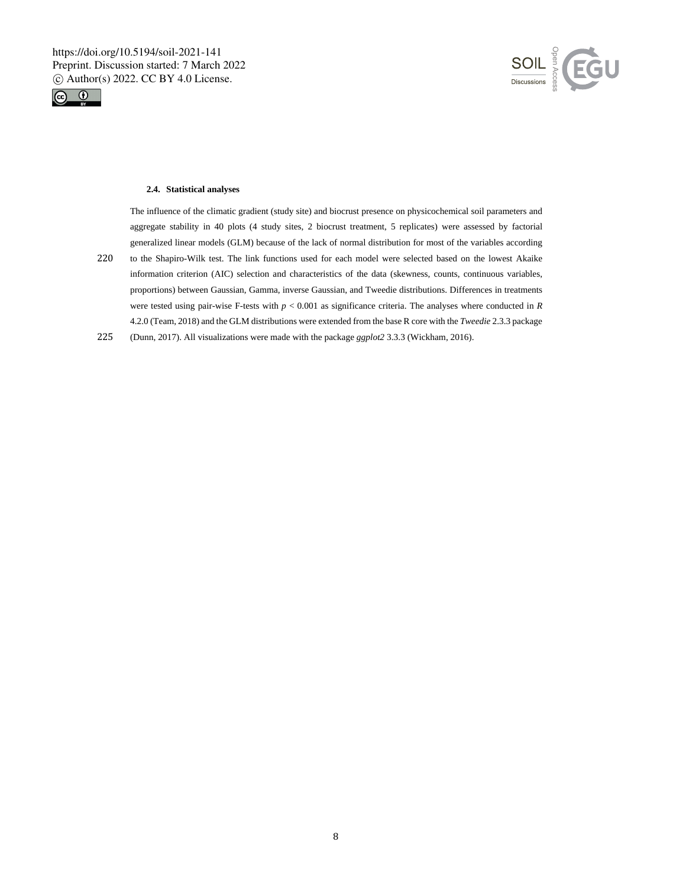



## **2.4. Statistical analyses**

The influence of the climatic gradient (study site) and biocrust presence on physicochemical soil parameters and aggregate stability in 40 plots (4 study sites, 2 biocrust treatment, 5 replicates) were assessed by factorial generalized linear models (GLM) because of the lack of normal distribution for most of the variables according 220 to the Shapiro-Wilk test. The link functions used for each model were selected based on the lowest Akaike information criterion (AIC) selection and characteristics of the data (skewness, counts, continuous variables, proportions) between Gaussian, Gamma, inverse Gaussian, and Tweedie distributions. Differences in treatments were tested using pair-wise F-tests with *p* < 0.001 as significance criteria. The analyses where conducted in *R* 4.2.0 (Team, 2018) and the GLM distributions were extended from the base R core with the *Tweedie* 2.3.3 package

225 (Dunn, 2017). All visualizations were made with the package *ggplot2* 3.3.3 (Wickham, 2016).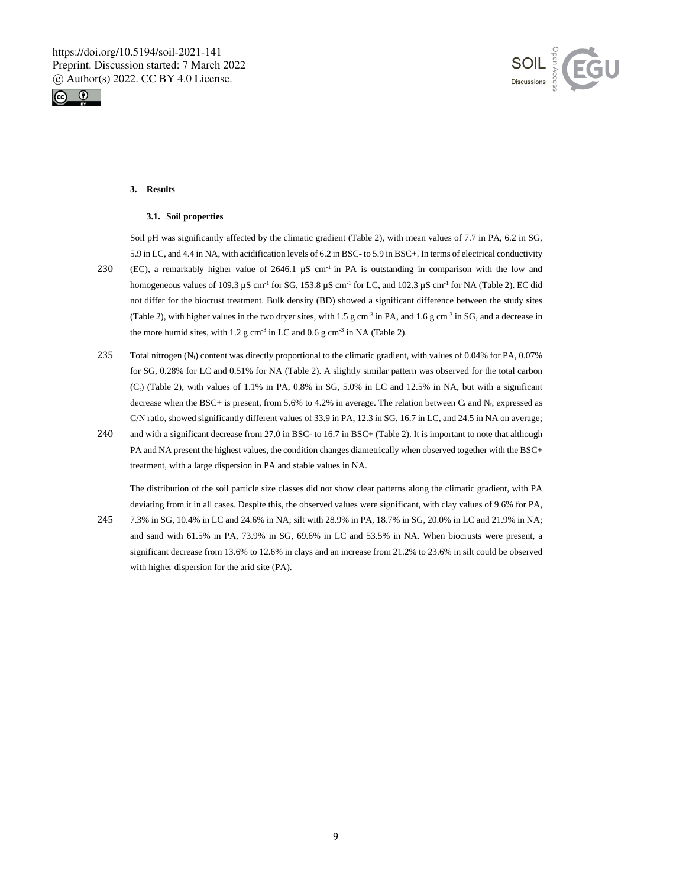



# **3. Results**

#### **3.1. Soil properties**

Soil pH was significantly affected by the climatic gradient (Table 2), with mean values of 7.7 in PA, 6.2 in SG, 5.9 in LC, and 4.4 in NA, with acidification levels of 6.2 in BSC- to 5.9 in BSC+. In terms of electrical conductivity

- 230 (EC), a remarkably higher value of 2646.1  $\mu$ S cm<sup>-1</sup> in PA is outstanding in comparison with the low and homogeneous values of 109.3  $\mu$ S cm<sup>-1</sup> for SG, 153.8  $\mu$ S cm<sup>-1</sup> for LC, and 102.3  $\mu$ S cm<sup>-1</sup> for NA (Table 2). EC did not differ for the biocrust treatment. Bulk density (BD) showed a significant difference between the study sites (Table 2), with higher values in the two dryer sites, with 1.5 g cm<sup>-3</sup> in PA, and 1.6 g cm<sup>-3</sup> in SG, and a decrease in the more humid sites, with 1.2  $g \text{ cm}^{-3}$  in LC and 0.6  $g \text{ cm}^{-3}$  in NA (Table 2).
- 235 Total nitrogen (N<sub>t</sub>) content was directly proportional to the climatic gradient, with values of 0.04% for PA, 0.07% for SG, 0.28% for LC and 0.51% for NA (Table 2). A slightly similar pattern was observed for the total carbon  $(C<sub>t</sub>)$  (Table 2), with values of 1.1% in PA, 0.8% in SG, 5.0% in LC and 12.5% in NA, but with a significant decrease when the BSC+ is present, from 5.6% to 4.2% in average. The relation between  $C_t$  and  $N_t$ , expressed as C/N ratio, showed significantly different values of 33.9 in PA, 12.3 in SG, 16.7 in LC, and 24.5 in NA on average;
- 240 and with a significant decrease from 27.0 in BSC- to 16.7 in BSC+ (Table 2). It is important to note that although PA and NA present the highest values, the condition changes diametrically when observed together with the BSC+ treatment, with a large dispersion in PA and stable values in NA.

The distribution of the soil particle size classes did not show clear patterns along the climatic gradient, with PA deviating from it in all cases. Despite this, the observed values were significant, with clay values of 9.6% for PA, 245 7.3% in SG, 10.4% in LC and 24.6% in NA; silt with 28.9% in PA, 18.7% in SG, 20.0% in LC and 21.9% in NA;

and sand with 61.5% in PA, 73.9% in SG, 69.6% in LC and 53.5% in NA. When biocrusts were present, a significant decrease from 13.6% to 12.6% in clays and an increase from 21.2% to 23.6% in silt could be observed with higher dispersion for the arid site (PA).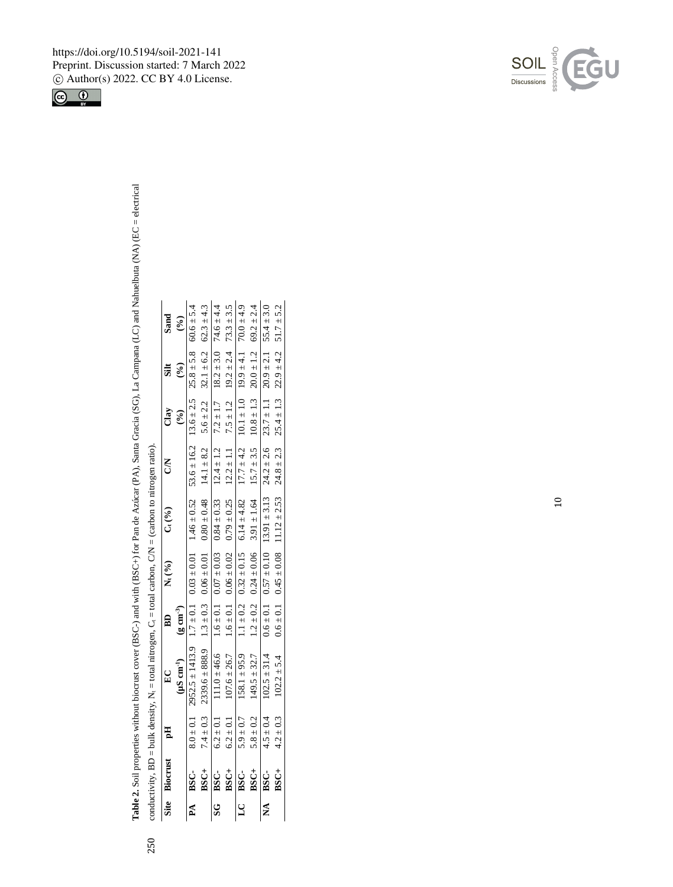Table 2. Soil properties without biocrust cover (BSC-) and with (BSC+) for Pan de Azúcar (PA), Santa Gracia (SG), La Campana (LC) and Nahuelbuta (NA) (EC = electrical +) for Pan de Azúcar (PA), Santa Gracia (SG), La Campana (LC) and Nahuelbuta (NA) (EC = electrical conductivity,  $BD = bulk$  density,  $N<sub>i</sub> = total$  nitrogen,  $C<sub>i</sub> = total$  carbon,  $CN = (carbon to nitrogen ratio).$ **2.** Soil properties without biocrust cover (BSC-) and with (BSC bulk density,  $N_t = total$ conductivity, BD =

250

| Site Biocrust pH | EC                                                                                                                                                | $\begin{array}{ccc}\n\text{B} & \text{C} & \text{C} & \text{D} & \text{D}\n\\ \text{D} & \text{D} & \text{D} & \text{D}\n\end{array}$ | <b>CN</b> | Clay                    | Silt                    | Sand                    |
|------------------|---------------------------------------------------------------------------------------------------------------------------------------------------|---------------------------------------------------------------------------------------------------------------------------------------|-----------|-------------------------|-------------------------|-------------------------|
|                  | $(\mu S \text{ cm}^{-1})$ $(g \text{ cm}^{-3})$                                                                                                   |                                                                                                                                       |           | $\widehat{\mathcal{E}}$ | $\widehat{\mathcal{E}}$ | $\widehat{\mathcal{E}}$ |
| PA BSC-          | $8.0 \pm 0.1$ 2952.5 ± 1413.9 1.7 ± 0.1 0.03 ± 0.01 1.46 ± 0.52 53.6 ± 16.2 13.6 ± 2.5 25.8 ± 5.8 60.6 ± 5.4                                      |                                                                                                                                       |           |                         |                         |                         |
| $BSC+$           | 7.4 ± 0.3 2339.6 ± 888.9 1.3 ± 0.3 0.06 ± 0.01 0.48 14.1 ± 8.2 5.6 ± 2.2 32.1 ± 6.2 62.3 ± 4.3                                                    |                                                                                                                                       |           |                         |                         |                         |
| SG BSC-          | $6.2 \pm 0.1$ $11.0 \pm 46.6$ $1.6 \pm 0.1$ $0.07 \pm 0.03$ $0.84 \pm 0.33$ $12.4 \pm 1.2$ $7.2 \pm 1.7$ $18.2 \pm 3.0$ $74.6 \pm 4.4$            |                                                                                                                                       |           |                         |                         |                         |
| $BSC+$           | 6.2 ± 0.1 107.6 ± 26.7 1.6 ± 0.1 0.06 ± 0.02 0.79 ± 0.25 12.2 ± 1.1 7.5 ± 1.2 19.2 ± 2.4 73.3 ± 3.5                                               |                                                                                                                                       |           |                         |                         |                         |
| LC BSC-          | $5.9 \pm 0.7$ $1.581 \pm 9.59$ $1.1 \pm 0.2$ $0.32 \pm 0.15$ $0.14 \pm 4.82$ $17.7 \pm 4.2$ $10.1 \pm 1.0$ $1 \pm 1.0$ $1 \pm 4.1$ $79.9 \pm 4.9$ |                                                                                                                                       |           |                         |                         |                         |
|                  | BSC+ 5.8 ± 0.2 149.5 ± 32.7 1.2 ± 0.2 0.24 ± 0.6 3.91 ± 1.64 15.7 ± 3.5 10.8 ± 1.3 20.0 ± 1.2 69.2 ± 2.4                                          |                                                                                                                                       |           |                         |                         |                         |
|                  | NA BSC- $4.5 \pm 0.4$ $102.5 \pm 31.4$ $0.6 \pm 0.1$ $0.57 \pm 0.10$ $13.91 \pm 3.13$ $24.2 \pm 2.6$ $23.7 \pm 1.1$ $20.9 \pm 2.1$ $55.4 \pm 3.0$ |                                                                                                                                       |           |                         |                         |                         |
| BSC+             | $4.2 \pm 0.3$ $102.2 \pm 5.4$ $0.6 \pm 0.1$ $0.45 \pm 0.08$ $11.12 \pm 2.53$ $24.8 \pm 2.3$ $25.4 \pm 1.3$ $22.9 \pm 4.2$ $51.7 \pm 5.2$          |                                                                                                                                       |           |                         |                         |                         |

https://doi.org/10.5194/soil-2021-141 Preprint. Discussion started: 7 March 2022 c Author(s) 2022. CC BY 4.0 License.



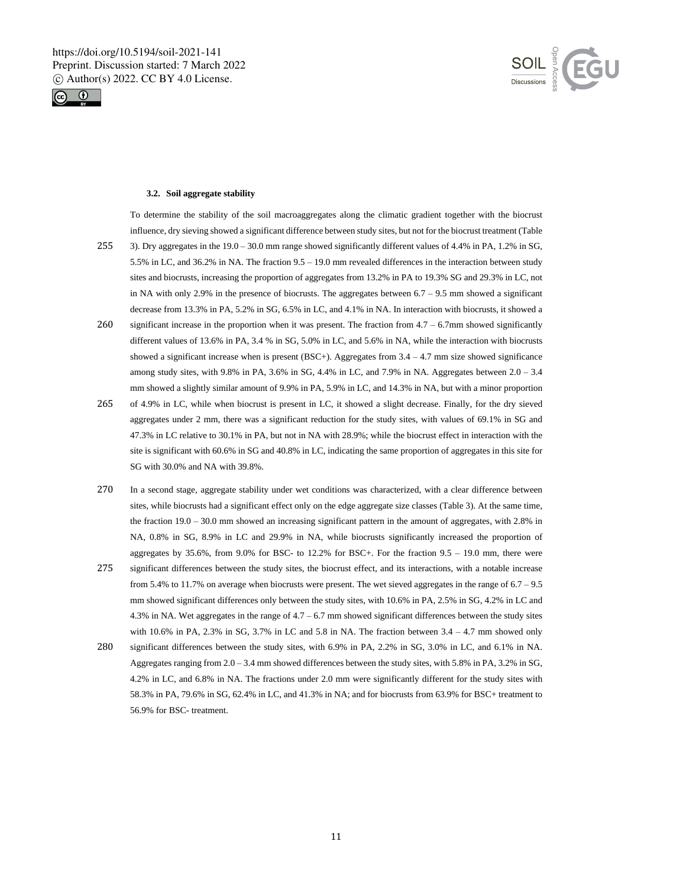



#### **3.2. Soil aggregate stability**

To determine the stability of the soil macroaggregates along the climatic gradient together with the biocrust influence, dry sieving showed a significant difference between study sites, but not for the biocrust treatment (Table 255 3). Dry aggregates in the 19.0 – 30.0 mm range showed significantly different values of 4.4% in PA, 1.2% in SG,

- 5.5% in LC, and 36.2% in NA. The fraction 9.5 19.0 mm revealed differences in the interaction between study sites and biocrusts, increasing the proportion of aggregates from 13.2% in PA to 19.3% SG and 29.3% in LC, not in NA with only 2.9% in the presence of biocrusts. The aggregates between  $6.7 - 9.5$  mm showed a significant decrease from 13.3% in PA, 5.2% in SG, 6.5% in LC, and 4.1% in NA. In interaction with biocrusts, it showed a
- 260 significant increase in the proportion when it was present. The fraction from 4.7 6.7mm showed significantly different values of 13.6% in PA, 3.4 % in SG, 5.0% in LC, and 5.6% in NA, while the interaction with biocrusts showed a significant increase when is present (BSC+). Aggregates from 3.4 – 4.7 mm size showed significance among study sites, with 9.8% in PA, 3.6% in SG, 4.4% in LC, and 7.9% in NA. Aggregates between  $2.0 - 3.4$ mm showed a slightly similar amount of 9.9% in PA, 5.9% in LC, and 14.3% in NA, but with a minor proportion
- 265 of 4.9% in LC, while when biocrust is present in LC, it showed a slight decrease. Finally, for the dry sieved aggregates under 2 mm, there was a significant reduction for the study sites, with values of 69.1% in SG and 47.3% in LC relative to 30.1% in PA, but not in NA with 28.9%; while the biocrust effect in interaction with the site is significant with 60.6% in SG and 40.8% in LC, indicating the same proportion of aggregates in this site for SG with 30.0% and NA with 39.8%.
- 270 In a second stage, aggregate stability under wet conditions was characterized, with a clear difference between sites, while biocrusts had a significant effect only on the edge aggregate size classes (Table 3). At the same time, the fraction 19.0 – 30.0 mm showed an increasing significant pattern in the amount of aggregates, with 2.8% in NA, 0.8% in SG, 8.9% in LC and 29.9% in NA, while biocrusts significantly increased the proportion of aggregates by  $35.6\%$ , from  $9.0\%$  for BSC- to 12.2% for BSC+. For the fraction  $9.5 - 19.0$  mm, there were
- 275 significant differences between the study sites, the biocrust effect, and its interactions, with a notable increase from 5.4% to 11.7% on average when biocrusts were present. The wet sieved aggregates in the range of  $6.7 - 9.5$ mm showed significant differences only between the study sites, with 10.6% in PA, 2.5% in SG, 4.2% in LC and 4.3% in NA. Wet aggregates in the range of 4.7 – 6.7 mm showed significant differences between the study sites with 10.6% in PA, 2.3% in SG, 3.7% in LC and 5.8 in NA. The fraction between 3.4 – 4.7 mm showed only
- 280 significant differences between the study sites, with 6.9% in PA, 2.2% in SG, 3.0% in LC, and 6.1% in NA. Aggregates ranging from 2.0 – 3.4 mm showed differences between the study sites, with 5.8% in PA, 3.2% in SG, 4.2% in LC, and 6.8% in NA. The fractions under 2.0 mm were significantly different for the study sites with 58.3% in PA, 79.6% in SG, 62.4% in LC, and 41.3% in NA; and for biocrusts from 63.9% for BSC+ treatment to 56.9% for BSC- treatment.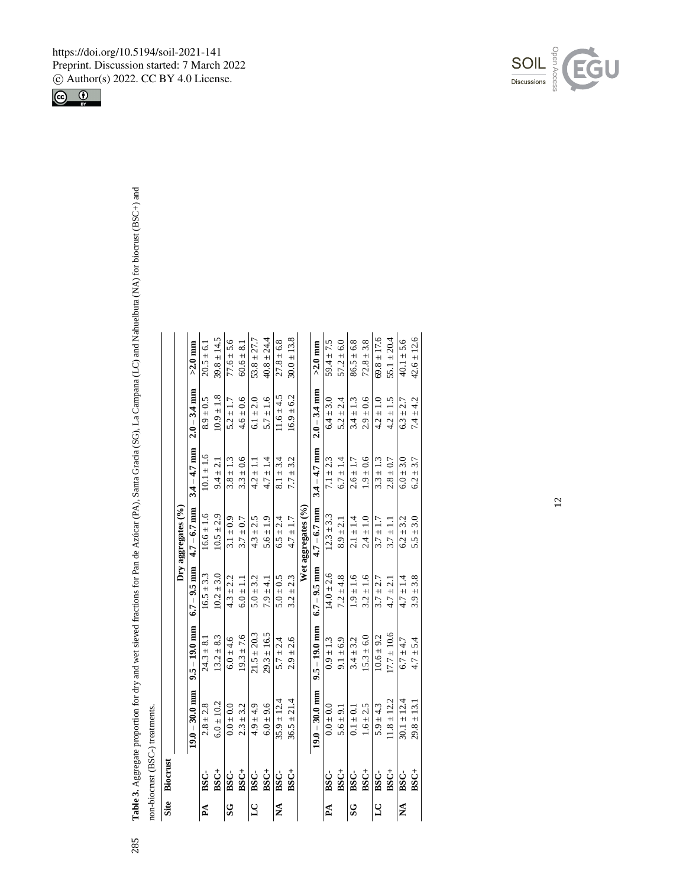**Table 3.** Aggregate proportion for dry and wet sieved fractions for Pan de Azúcar (PA), Santa Gracia (SG), La Campana (LC) and Nahuelbuta (NA) for biocrust (BSC non-biocrust (BSC-) treatments.

285

| Site                    | Biocrust       |                  |                 |                |                                   |                               |                |                 |
|-------------------------|----------------|------------------|-----------------|----------------|-----------------------------------|-------------------------------|----------------|-----------------|
|                         |                |                  |                 |                | $\mathrm{Dry}$ aggregates $(°_0)$ |                               |                |                 |
|                         |                | $19.0 - 30.0$ mm | $9.5 - 19.0$ mm | $6.7 - 9.5$ mm |                                   | $4.7 - 6.7$ mm $3.4 - 4.7$ mm | $2.0 - 3.4$ mm | $>2.0$ mm       |
| $\mathbf{P} \mathbf{A}$ | ${}_{\rm BSC}$ | $2.8 \pm 2.8$    | $24.3 \pm 8.1$  | $16.5 \pm 3.3$ | $16.6 \pm 1.6$                    | $10.1 \pm 1.6$                | $8.9 \pm 0.5$  | $20.5 \pm 6.1$  |
|                         | BSC+           | $6.0 \pm 10.2$   | $13.2 \pm 8.3$  | $10.2 \pm 3.0$ | $10.5 \pm 2.9$                    | $9.4 \pm 2.1$                 | $10.9 \pm 1.8$ | $39.8 \pm 14.5$ |
| S                       | BSC-           | $0.0 \pm 0.0$    | $6.0 \pm 4.6$   | $4.3 \pm 2.2$  | $3.1 \pm 0.9$                     | $3.8 \pm 1.3$                 | $5.2 \pm 1.7$  | $77.6 \pm 5.6$  |
|                         | BSC+           | $2.3 \pm 3.2$    | $19.3 \pm 7.6$  | $6.0 \pm 1.1$  | $3.7 \pm 0.7$                     | $3.3 \pm 0.6$                 | $4.6 \pm 0.6$  | $60.6 \pm 8.1$  |
| 5                       | BSC-           | $4.9 \pm 4.9$    | $21.5 \pm 20.3$ | $5.0 \pm 3.2$  | $4.3 \pm 2.5$                     | $4.2 \pm 1.1$                 | $6.1 \pm 2.0$  | $53.8 \pm 27.7$ |
|                         | BSC+           | $6.0 \pm 9.6$    | $29.3 \pm 16.5$ | $7.9 \pm 4.1$  | $5.6 \pm 1.9$                     | $4.7 \pm 1.4$                 | $5.7 \pm 1.6$  | $40.8 \pm 24.4$ |
| ≸                       | BSC-           | $35.9 \pm 12.4$  | $5.7 \pm 2.4$   | $5.0 \pm 0.5$  | $6.5 \pm 2.4$                     | $8.1 \pm 3.4$                 | $11.6 \pm 4.5$ | $27.8 \pm 6.8$  |
|                         | BSC+           | $36.5 \pm 21.4$  | $2.9 \pm 2.6$   | $3.2 \pm 2.3$  | $4.7 \pm 1.7$                     | $7.7 \pm 3.2$                 | $16.9 \pm 6.2$ | $30.0 \pm 13.8$ |
|                         |                |                  |                 |                | Wet aggregates (%)                |                               |                |                 |
|                         |                | $19.0 - 30.0$ mm | $9.5 - 19.0$ mm | $6.7 - 9.5$ mm | $4.7 - 6.7$ mm                    | $3.4 - 4.7$ mm                | $2.0 - 3.4$ mm | $>2.0$ mm       |
| Å                       | BSC-           | $0.0 \pm 0.0$    | $0.9 \pm 1.3$   | $14.0 \pm 2.6$ | $12.3 \pm 3.3$                    | $7.1 \pm 2.3$                 | $6.4 \pm 3.0$  | $59.4 \pm 7.5$  |
|                         | BSC+           | $5.6 \pm 9.1$    | $9.1 \pm 6.9$   | $7.2 \pm 4.8$  | $8.9 \pm 2.1$                     | $6.7 \pm 1.4$                 | $5.2 \pm 2.4$  | $57.2 \pm 6.0$  |
| S                       | BSC-           | $0.1 \pm 0.1$    | $3.4 \pm 3.2$   | $1.9 \pm 1.6$  | $2.1 \pm 1.4$                     | $2.6 \pm 1.7$                 | $3.4 \pm 1.3$  | $86.5 \pm 6.8$  |
|                         | BSC+           | $1.6 \pm 2.5$    | $15.3 \pm 6.0$  | $3.2 \pm 1.6$  | $2.4 \pm 1.0$                     | $1.9 \pm 0.6$                 | $2.9 \pm 0.6$  | $72.8 \pm 3.8$  |
| $\mathbf{S}$            | BSC-           | $5.9 \pm 4.3$    | $10.6 \pm 9.2$  | $3.7 \pm 2.7$  | $3.7 \pm 1.7$                     | $3.3 \pm 1.3$                 | $4.2 \pm 1.0$  | $69.8 \pm 17.6$ |
|                         | BSC+           | $11.8 \pm 12.2$  | $17.7 \pm 10.6$ | $4.7 \pm 2.1$  | $3.7 \pm 1.1$                     | $2.8 \pm 0.7$                 | $4.2 \pm 1.5$  | $55.1 \pm 20.4$ |
| Ź                       | <b>BSC</b>     | $30.1 \pm 12.4$  | $6.7 \pm 4.7$   | $4.7 \pm 1.4$  | $6.2 \pm 3.2$                     | $6.0 \pm 3.0$                 | $6.3 \pm 2.7$  | $40.1 \pm 5.6$  |
|                         | BSC+           | $29.8 \pm 13.1$  | $4.7 \pm 5.4$   | $3.9 \pm 3.8$  | $5.5 \pm 3.0$                     | $6.2 \pm 3.7$                 | $7.4 \pm 4.2$  | $42.6 \pm 12.6$ |

**BSC +**

 $29.8 \pm 13.1$   $4.7 \pm 5.4$   $3.9 \pm 3.8$   $5.5 \pm 3.0$   $6.2 \pm 3.7$   $7.4 \pm 4.2$   $42.6 \pm 12.6$ 



 $+$ ) and

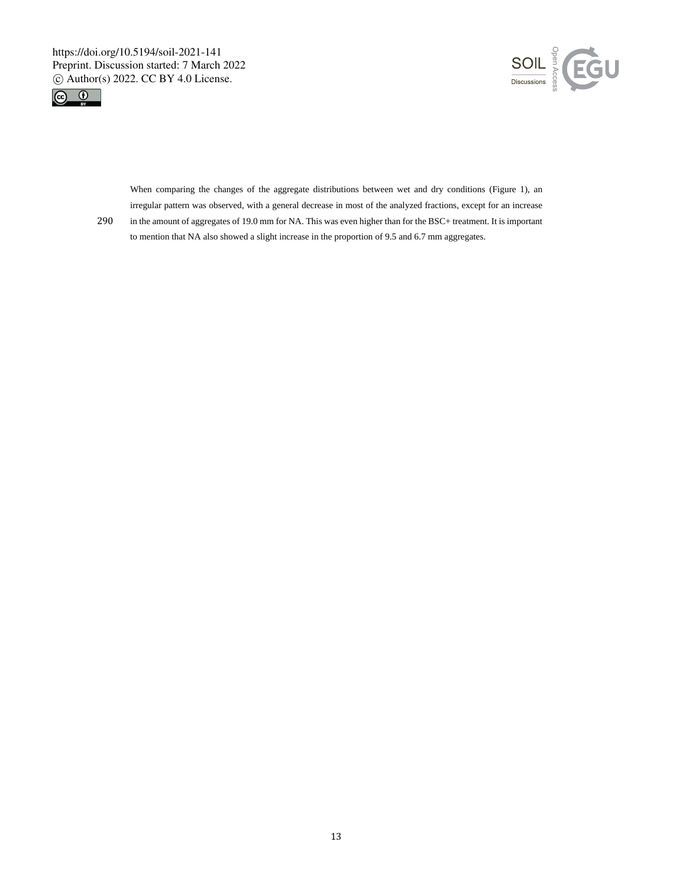



When comparing the changes of the aggregate distributions between wet and dry conditions (Figure 1), an irregular pattern was observed, with a general decrease in most of the analyzed fractions, except for an increase

290 in the amount of aggregates of 19.0 mm for NA. This was even higher than for the BSC+ treatment. It is important to mention that NA also showed a slight increase in the proportion of 9.5 and 6.7 mm aggregates.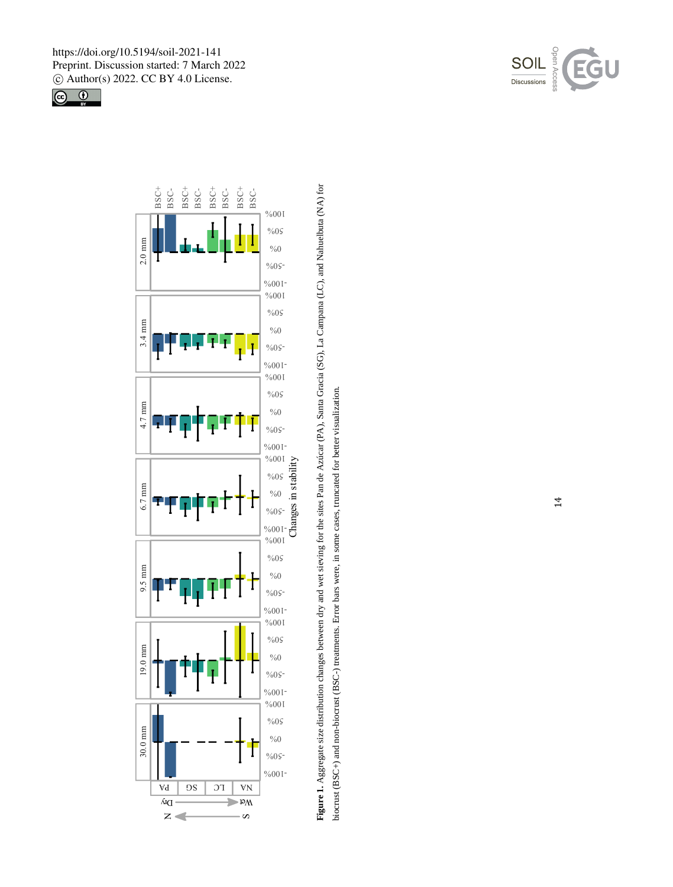



Figure 1. Aggregate size distribution changes between dry and wet sieving for the sites Pan de Azúcar (PA), Santa Gracia (SG), La Campana (LC), and Nahuelbuta (NA) for **Figure 1.** Aggregate size distribution changes between dry and wet sieving for the sites Pan de Azúcar (PA), Santa Gracia (SG), La Campana (LC), and Nahuelbuta (NA) for biocrust (BSC+) and non-biocrust (BSC-) treatments. Error bars were, in some cases, truncated for better visualization. +) and non-biocrust (BSC-) treatments. Error bars were, in some cases, truncated for better visualization.

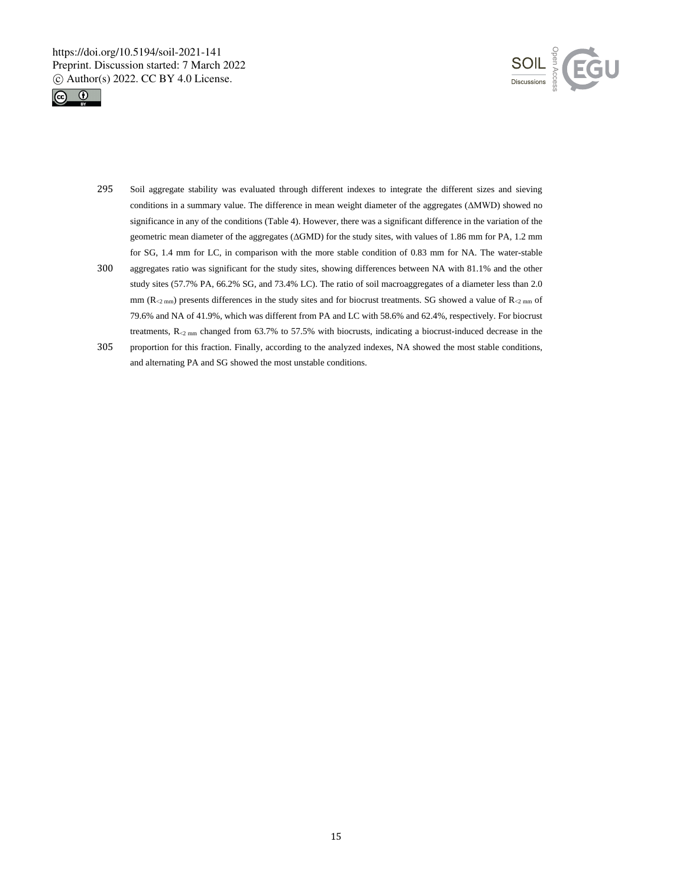



- 295 Soil aggregate stability was evaluated through different indexes to integrate the different sizes and sieving conditions in a summary value. The difference in mean weight diameter of the aggregates (ΔMWD) showed no significance in any of the conditions (Table 4). However, there was a significant difference in the variation of the geometric mean diameter of the aggregates (ΔGMD) for the study sites, with values of 1.86 mm for PA, 1.2 mm for SG, 1.4 mm for LC, in comparison with the more stable condition of 0.83 mm for NA. The water-stable
- 300 aggregates ratio was significant for the study sites, showing differences between NA with 81.1% and the other study sites (57.7% PA, 66.2% SG, and 73.4% LC). The ratio of soil macroaggregates of a diameter less than 2.0 mm ( $R_{\leq 2 \text{ mm}}$ ) presents differences in the study sites and for biocrust treatments. SG showed a value of  $R_{\leq 2 \text{ mm}}$  of 79.6% and NA of 41.9%, which was different from PA and LC with 58.6% and 62.4%, respectively. For biocrust treatments,  $R_{\leq 2 \text{ mm}}$  changed from 63.7% to 57.5% with biocrusts, indicating a biocrust-induced decrease in the
- 305 proportion for this fraction. Finally, according to the analyzed indexes, NA showed the most stable conditions, and alternating PA and SG showed the most unstable conditions.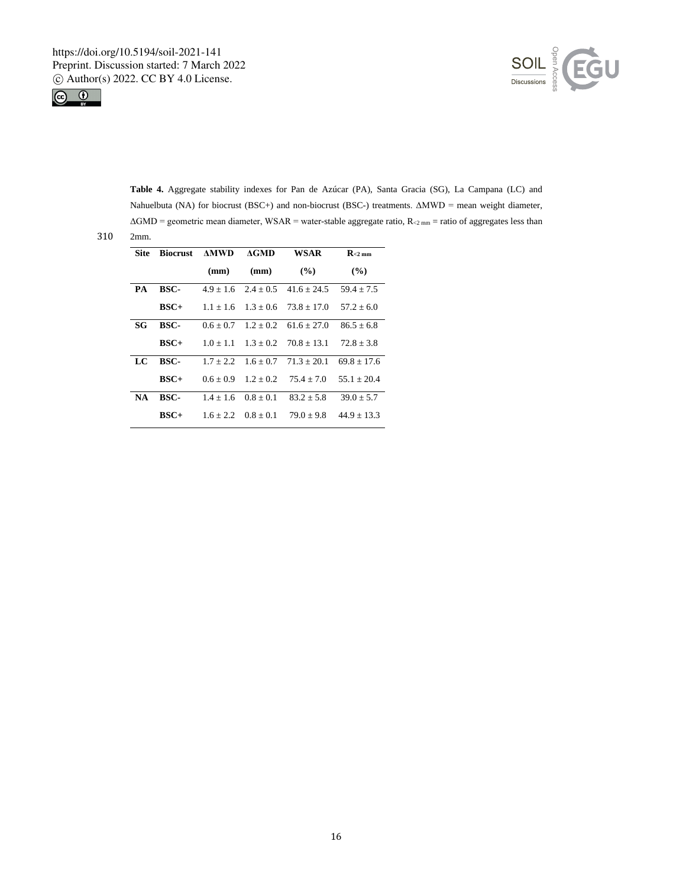



**Table 4.** Aggregate stability indexes for Pan de Azúcar (PA), Santa Gracia (SG), La Campana (LC) and Nahuelbuta (NA) for biocrust (BSC+) and non-biocrust (BSC-) treatments. ΔMWD = mean weight diameter,  $\Delta GMD =$  geometric mean diameter, WSAR = water-stable aggregate ratio,  $R_{\rm 2mm}$  = ratio of aggregates less than

| Site      | <b>Biocrust</b> | <b>AMWD</b> | AGMD                    | <b>WSAR</b>                           | $R_{\leq 2 \text{ mm}}$ |
|-----------|-----------------|-------------|-------------------------|---------------------------------------|-------------------------|
|           |                 | (mm)        | (mm)                    | $($ %)                                | $($ %)                  |
| PA        | BSC-            |             |                         | $4.9 + 1.6$ $2.4 + 0.5$ $41.6 + 24.5$ | $59.4 + 7.5$            |
|           | $BSC+$          |             |                         | $1.1 + 1.6$ $1.3 + 0.6$ $73.8 + 17.0$ | $57.2 + 6.0$            |
| SG        | BSC-            | $0.6 + 0.7$ |                         | $1.2 + 0.2$ 61.6 + 27.0               | $86.5 + 6.8$            |
|           | $BSC+$          | $1.0 + 1.1$ |                         | $1.3 + 0.2$ $70.8 + 13.1$             | $72.8 + 3.8$            |
| LC        | BSC-            | $1.7 + 2.2$ | $1.6 + 0.7$             | $71.3 + 20.1$                         | $69.8 + 17.6$           |
|           | $BSC+$          | $0.6 + 0.9$ | $1.2 + 0.2$             | $75.4 + 7.0$                          | $55.1 + 20.4$           |
| <b>NA</b> | BSC-            | $1.4 + 1.6$ | $0.8 + 0.1$             | $83.2 + 5.8$                          | $39.0 + 5.7$            |
|           | $BSC+$          |             | $1.6 + 2.2$ $0.8 + 0.1$ | $79.0 \pm 9.8$                        | $44.9 + 13.3$           |

 $310 - 2$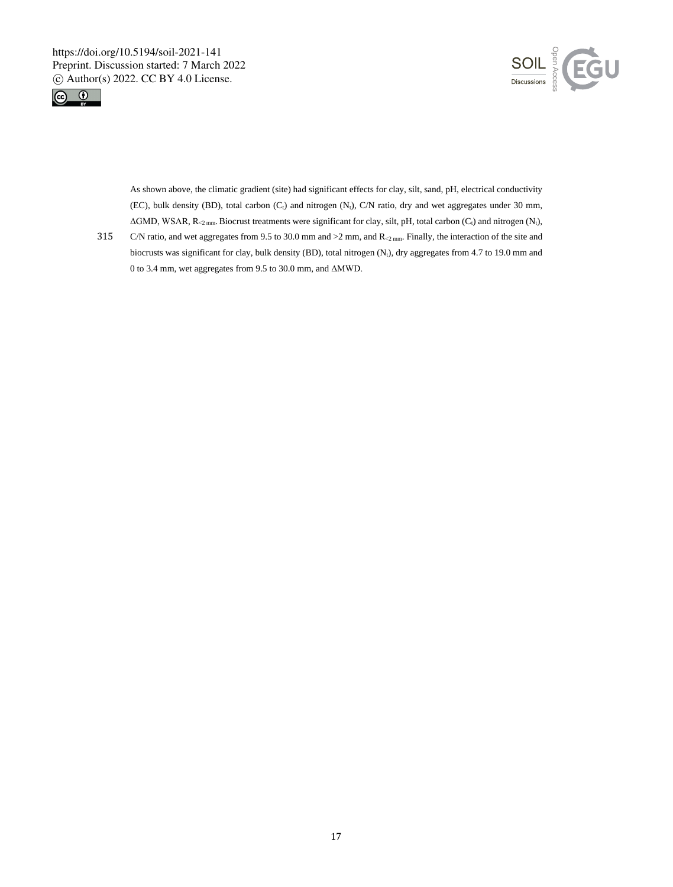



As shown above, the climatic gradient (site) had significant effects for clay, silt, sand, pH, electrical conductivity (EC), bulk density (BD), total carbon  $(C_t)$  and nitrogen  $(N_t)$ ,  $C/N$  ratio, dry and wet aggregates under 30 mm,  $\Delta$ GMD, WSAR, R<sub><2 mm</sub>. Biocrust treatments were significant for clay, silt, pH, total carbon (C<sub>t</sub>) and nitrogen (N<sub>t</sub>),

315 C/N ratio, and wet aggregates from 9.5 to 30.0 mm and >2 mm, and R<sub><2 mm</sub>. Finally, the interaction of the site and biocrusts was significant for clay, bulk density (BD), total nitrogen (N<sub>t</sub>), dry aggregates from 4.7 to 19.0 mm and 0 to 3.4 mm, wet aggregates from 9.5 to 30.0 mm, and ΔMWD.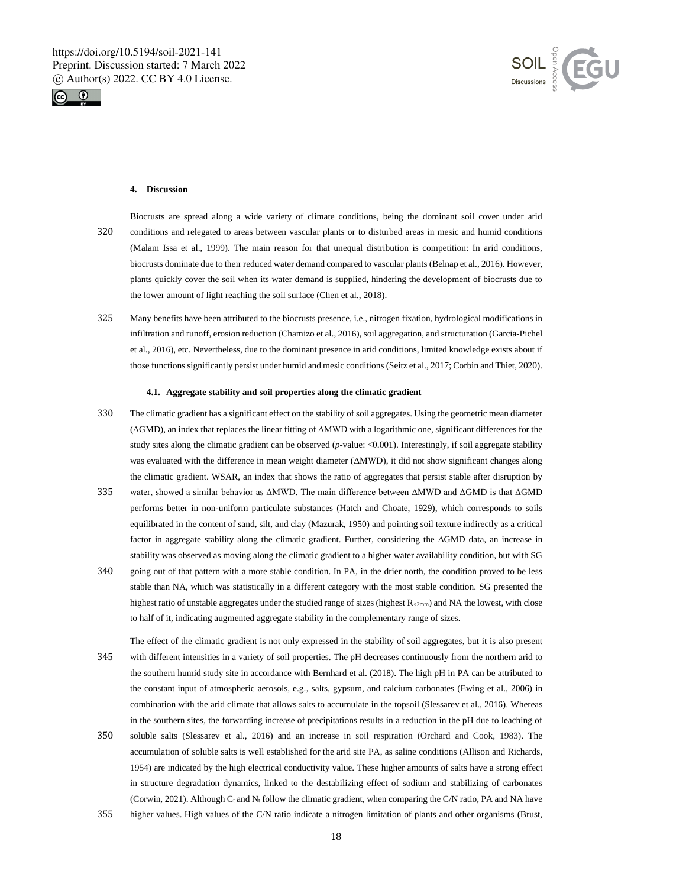



## **4. Discussion**

- Biocrusts are spread along a wide variety of climate conditions, being the dominant soil cover under arid 320 conditions and relegated to areas between vascular plants or to disturbed areas in mesic and humid conditions (Malam Issa et al., 1999). The main reason for that unequal distribution is competition: In arid conditions, biocrusts dominate due to their reduced water demand compared to vascular plants (Belnap et al., 2016). However, plants quickly cover the soil when its water demand is supplied, hindering the development of biocrusts due to the lower amount of light reaching the soil surface (Chen et al., 2018).
- 325 Many benefits have been attributed to the biocrusts presence, i.e., nitrogen fixation, hydrological modifications in infiltration and runoff, erosion reduction (Chamizo et al., 2016), soil aggregation, and structuration (Garcia-Pichel et al., 2016), etc. Nevertheless, due to the dominant presence in arid conditions, limited knowledge exists about if those functions significantly persist under humid and mesic conditions (Seitz et al., 2017; Corbin and Thiet, 2020).

#### **4.1. Aggregate stability and soil properties along the climatic gradient**

- 330 The climatic gradient has a significant effect on the stability of soil aggregates. Using the geometric mean diameter (ΔGMD), an index that replaces the linear fitting of ΔMWD with a logarithmic one, significant differences for the study sites along the climatic gradient can be observed (*p*-value: <0.001). Interestingly, if soil aggregate stability was evaluated with the difference in mean weight diameter (ΔMWD), it did not show significant changes along the climatic gradient. WSAR, an index that shows the ratio of aggregates that persist stable after disruption by
- 335 water, showed a similar behavior as ΔMWD. The main difference between ΔMWD and ΔGMD is that ΔGMD performs better in non-uniform particulate substances (Hatch and Choate, 1929), which corresponds to soils equilibrated in the content of sand, silt, and clay (Mazurak, 1950) and pointing soil texture indirectly as a critical factor in aggregate stability along the climatic gradient. Further, considering the ΔGMD data, an increase in stability was observed as moving along the climatic gradient to a higher water availability condition, but with SG
- 340 going out of that pattern with a more stable condition. In PA, in the drier north, the condition proved to be less stable than NA, which was statistically in a different category with the most stable condition. SG presented the highest ratio of unstable aggregates under the studied range of sizes (highest  $R_{2mm}$ ) and NA the lowest, with close to half of it, indicating augmented aggregate stability in the complementary range of sizes.
- The effect of the climatic gradient is not only expressed in the stability of soil aggregates, but it is also present 345 with different intensities in a variety of soil properties. The pH decreases continuously from the northern arid to the southern humid study site in accordance with Bernhard et al. (2018). The high pH in PA can be attributed to the constant input of atmospheric aerosols, e.g., salts, gypsum, and calcium carbonates (Ewing et al., 2006) in combination with the arid climate that allows salts to accumulate in the topsoil (Slessarev et al., 2016). Whereas in the southern sites, the forwarding increase of precipitations results in a reduction in the pH due to leaching of
- 350 soluble salts (Slessarev et al., 2016) and an increase in soil respiration (Orchard and Cook, 1983). The accumulation of soluble salts is well established for the arid site PA, as saline conditions (Allison and Richards, 1954) are indicated by the high electrical conductivity value. These higher amounts of salts have a strong effect in structure degradation dynamics, linked to the destabilizing effect of sodium and stabilizing of carbonates (Corwin, 2021). Although  $C_t$  and  $N_t$  follow the climatic gradient, when comparing the C/N ratio, PA and NA have
- 355 higher values. High values of the C/N ratio indicate a nitrogen limitation of plants and other organisms (Brust,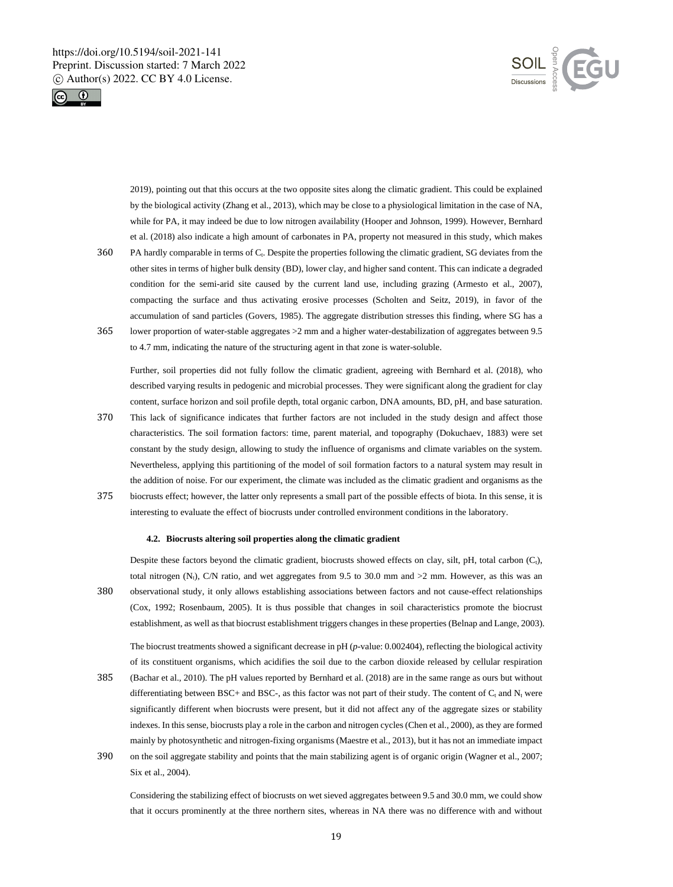



2019), pointing out that this occurs at the two opposite sites along the climatic gradient. This could be explained by the biological activity (Zhang et al., 2013), which may be close to a physiological limitation in the case of NA, while for PA, it may indeed be due to low nitrogen availability (Hooper and Johnson, 1999). However, Bernhard et al. (2018) also indicate a high amount of carbonates in PA, property not measured in this study, which makes

- 360 PA hardly comparable in terms of C<sub>t</sub>. Despite the properties following the climatic gradient, SG deviates from the other sites in terms of higher bulk density (BD), lower clay, and higher sand content. This can indicate a degraded condition for the semi-arid site caused by the current land use, including grazing (Armesto et al., 2007), compacting the surface and thus activating erosive processes (Scholten and Seitz, 2019), in favor of the accumulation of sand particles (Govers, 1985). The aggregate distribution stresses this finding, where SG has a 365 lower proportion of water-stable aggregates >2 mm and a higher water-destabilization of aggregates between 9.5
- to 4.7 mm, indicating the nature of the structuring agent in that zone is water-soluble.

Further, soil properties did not fully follow the climatic gradient, agreeing with Bernhard et al. (2018), who described varying results in pedogenic and microbial processes. They were significant along the gradient for clay content, surface horizon and soil profile depth, total organic carbon, DNA amounts, BD, pH, and base saturation.

- 370 This lack of significance indicates that further factors are not included in the study design and affect those characteristics. The soil formation factors: time, parent material, and topography (Dokuchaev, 1883) were set constant by the study design, allowing to study the influence of organisms and climate variables on the system. Nevertheless, applying this partitioning of the model of soil formation factors to a natural system may result in the addition of noise. For our experiment, the climate was included as the climatic gradient and organisms as the
- 375 biocrusts effect; however, the latter only represents a small part of the possible effects of biota. In this sense, it is interesting to evaluate the effect of biocrusts under controlled environment conditions in the laboratory.

#### **4.2. Biocrusts altering soil properties along the climatic gradient**

Despite these factors beyond the climatic gradient, biocrusts showed effects on clay, silt, pH, total carbon  $(C<sub>t</sub>)$ , total nitrogen (N<sub>t</sub>), C/N ratio, and wet aggregates from 9.5 to 30.0 mm and  $>2$  mm. However, as this was an 380 observational study, it only allows establishing associations between factors and not cause-effect relationships (Cox, 1992; Rosenbaum, 2005). It is thus possible that changes in soil characteristics promote the biocrust establishment, as well as that biocrust establishment triggers changes in these properties (Belnap and Lange, 2003).

The biocrust treatments showed a significant decrease in pH (*p*-value: 0.002404), reflecting the biological activity of its constituent organisms, which acidifies the soil due to the carbon dioxide released by cellular respiration

- 385 (Bachar et al., 2010). The pH values reported by Bernhard et al. (2018) are in the same range as ours but without differentiating between BSC+ and BSC-, as this factor was not part of their study. The content of  $C_t$  and  $N_t$  were significantly different when biocrusts were present, but it did not affect any of the aggregate sizes or stability indexes. In this sense, biocrusts play a role in the carbon and nitrogen cycles (Chen et al., 2000), as they are formed mainly by photosynthetic and nitrogen-fixing organisms (Maestre et al., 2013), but it has not an immediate impact 390 on the soil aggregate stability and points that the main stabilizing agent is of organic origin (Wagner et al., 2007;
- Six et al., 2004).

Considering the stabilizing effect of biocrusts on wet sieved aggregates between 9.5 and 30.0 mm, we could show that it occurs prominently at the three northern sites, whereas in NA there was no difference with and without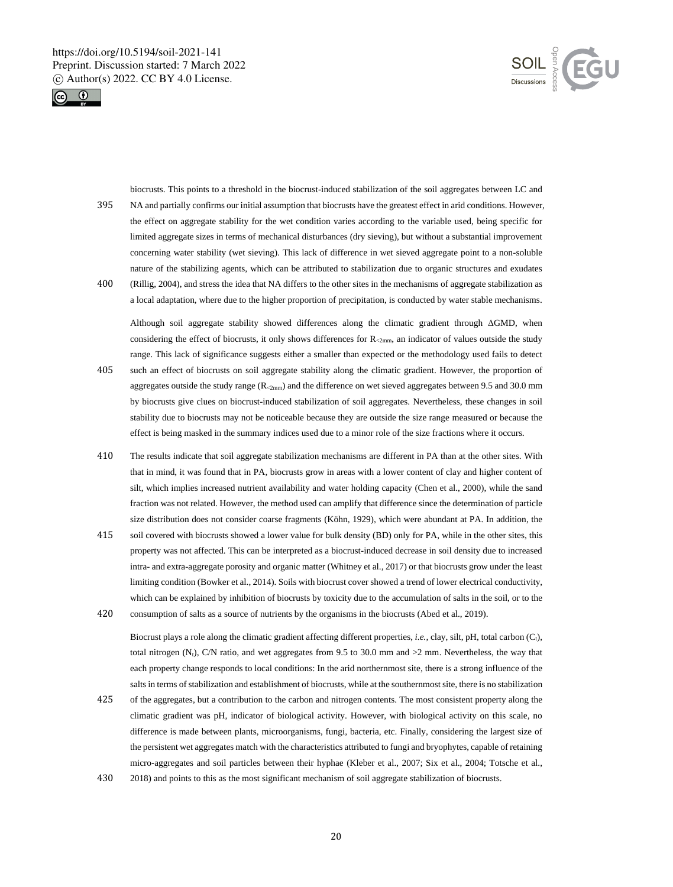



biocrusts. This points to a threshold in the biocrust-induced stabilization of the soil aggregates between LC and 395 NA and partially confirms our initial assumption that biocrusts have the greatest effect in arid conditions. However, the effect on aggregate stability for the wet condition varies according to the variable used, being specific for limited aggregate sizes in terms of mechanical disturbances (dry sieving), but without a substantial improvement concerning water stability (wet sieving). This lack of difference in wet sieved aggregate point to a non-soluble nature of the stabilizing agents, which can be attributed to stabilization due to organic structures and exudates 400 (Rillig, 2004), and stress the idea that NA differs to the other sites in the mechanisms of aggregate stabilization as

a local adaptation, where due to the higher proportion of precipitation, is conducted by water stable mechanisms.

Although soil aggregate stability showed differences along the climatic gradient through ΔGMD, when considering the effect of biocrusts, it only shows differences for  $R_{2mm}$ , an indicator of values outside the study range. This lack of significance suggests either a smaller than expected or the methodology used fails to detect 405 such an effect of biocrusts on soil aggregate stability along the climatic gradient. However, the proportion of

- aggregates outside the study range  $(R_{2mm})$  and the difference on wet sieved aggregates between 9.5 and 30.0 mm by biocrusts give clues on biocrust-induced stabilization of soil aggregates. Nevertheless, these changes in soil stability due to biocrusts may not be noticeable because they are outside the size range measured or because the effect is being masked in the summary indices used due to a minor role of the size fractions where it occurs.
- 410 The results indicate that soil aggregate stabilization mechanisms are different in PA than at the other sites. With that in mind, it was found that in PA, biocrusts grow in areas with a lower content of clay and higher content of silt, which implies increased nutrient availability and water holding capacity (Chen et al., 2000), while the sand fraction was not related. However, the method used can amplify that difference since the determination of particle size distribution does not consider coarse fragments (Köhn, 1929), which were abundant at PA. In addition, the
- 415 soil covered with biocrusts showed a lower value for bulk density (BD) only for PA, while in the other sites, this property was not affected. This can be interpreted as a biocrust-induced decrease in soil density due to increased intra- and extra-aggregate porosity and organic matter (Whitney et al., 2017) or that biocrusts grow under the least limiting condition (Bowker et al., 2014). Soils with biocrust cover showed a trend of lower electrical conductivity, which can be explained by inhibition of biocrusts by toxicity due to the accumulation of salts in the soil, or to the 420 consumption of salts as a source of nutrients by the organisms in the biocrusts (Abed et al., 2019).

Biocrust plays a role along the climatic gradient affecting different properties, *i.e.*, clay, silt, pH, total carbon (C<sub>t</sub>), total nitrogen  $(N_t)$ , C/N ratio, and wet aggregates from 9.5 to 30.0 mm and  $>2$  mm. Nevertheless, the way that each property change responds to local conditions: In the arid northernmost site, there is a strong influence of the salts in terms of stabilization and establishment of biocrusts, while at the southernmost site, there is no stabilization

- 425 of the aggregates, but a contribution to the carbon and nitrogen contents. The most consistent property along the climatic gradient was pH, indicator of biological activity. However, with biological activity on this scale, no difference is made between plants, microorganisms, fungi, bacteria, etc. Finally, considering the largest size of the persistent wet aggregates match with the characteristics attributed to fungi and bryophytes, capable of retaining micro-aggregates and soil particles between their hyphae (Kleber et al., 2007; Six et al., 2004; Totsche et al.,
- 430 2018) and points to this as the most significant mechanism of soil aggregate stabilization of biocrusts.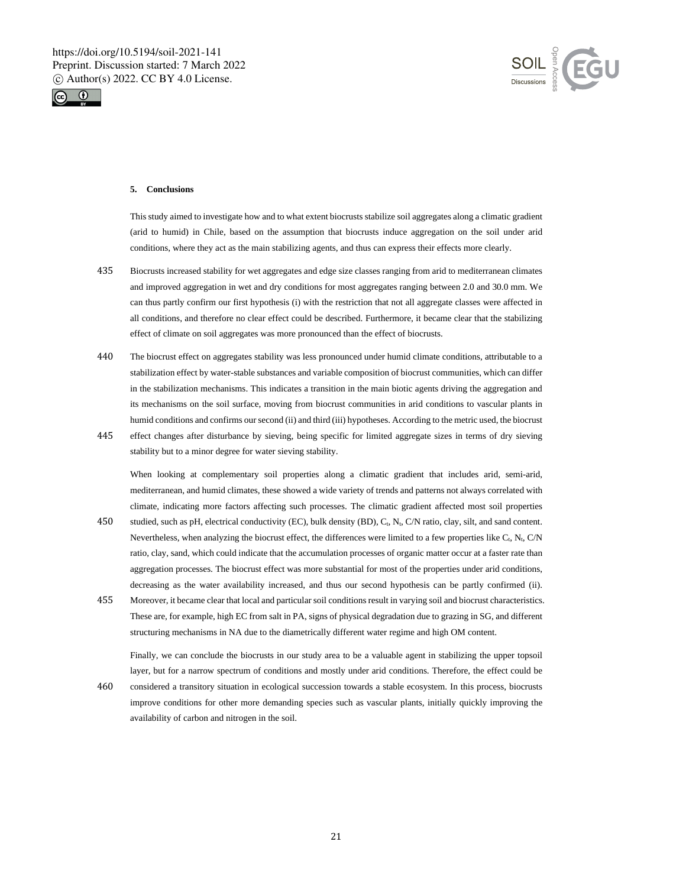



## **5. Conclusions**

This study aimed to investigate how and to what extent biocrusts stabilize soil aggregates along a climatic gradient (arid to humid) in Chile, based on the assumption that biocrusts induce aggregation on the soil under arid conditions, where they act as the main stabilizing agents, and thus can express their effects more clearly.

- 435 Biocrusts increased stability for wet aggregates and edge size classes ranging from arid to mediterranean climates and improved aggregation in wet and dry conditions for most aggregates ranging between 2.0 and 30.0 mm. We can thus partly confirm our first hypothesis (i) with the restriction that not all aggregate classes were affected in all conditions, and therefore no clear effect could be described. Furthermore, it became clear that the stabilizing effect of climate on soil aggregates was more pronounced than the effect of biocrusts.
- 440 The biocrust effect on aggregates stability was less pronounced under humid climate conditions, attributable to a stabilization effect by water-stable substances and variable composition of biocrust communities, which can differ in the stabilization mechanisms. This indicates a transition in the main biotic agents driving the aggregation and its mechanisms on the soil surface, moving from biocrust communities in arid conditions to vascular plants in humid conditions and confirms our second (ii) and third (iii) hypotheses. According to the metric used, the biocrust
- 445 effect changes after disturbance by sieving, being specific for limited aggregate sizes in terms of dry sieving stability but to a minor degree for water sieving stability.

When looking at complementary soil properties along a climatic gradient that includes arid, semi-arid, mediterranean, and humid climates, these showed a wide variety of trends and patterns not always correlated with climate, indicating more factors affecting such processes. The climatic gradient affected most soil properties

- 450 studied, such as pH, electrical conductivity (EC), bulk density (BD), C<sub>t</sub>, N<sub>t</sub>, C/N ratio, clay, silt, and sand content. Nevertheless, when analyzing the biocrust effect, the differences were limited to a few properties like  $C_t$ , N<sub>t</sub>, C/N ratio, clay, sand, which could indicate that the accumulation processes of organic matter occur at a faster rate than aggregation processes. The biocrust effect was more substantial for most of the properties under arid conditions, decreasing as the water availability increased, and thus our second hypothesis can be partly confirmed (ii).
- 455 Moreover, it became clear that local and particular soil conditions result in varying soil and biocrust characteristics. These are, for example, high EC from salt in PA, signs of physical degradation due to grazing in SG, and different structuring mechanisms in NA due to the diametrically different water regime and high OM content.

Finally, we can conclude the biocrusts in our study area to be a valuable agent in stabilizing the upper topsoil layer, but for a narrow spectrum of conditions and mostly under arid conditions. Therefore, the effect could be

460 considered a transitory situation in ecological succession towards a stable ecosystem. In this process, biocrusts improve conditions for other more demanding species such as vascular plants, initially quickly improving the availability of carbon and nitrogen in the soil.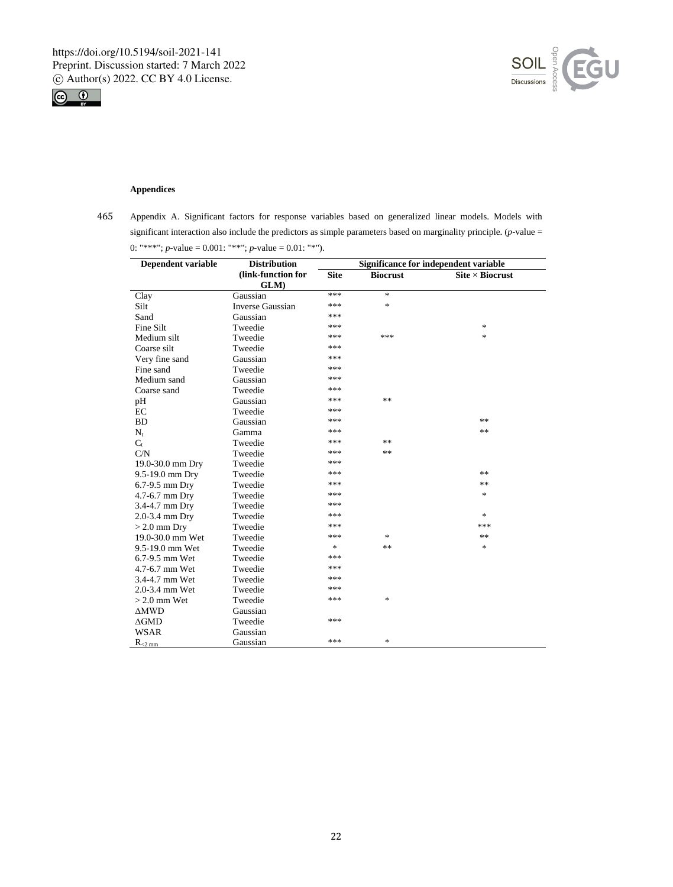



# **Appendices**

l,

 $\overline{a}$ 

465 Appendix A. Significant factors for response variables based on generalized linear models. Models with significant interaction also include the predictors as simple parameters based on marginality principle. (*p*-value = 0: "\*\*\*"; *p*-value = 0.001: "\*\*"; *p*-value = 0.01: "\*").

| Dependent variable      | <b>Distribution</b>     |             |                 | Significance for independent variable |
|-------------------------|-------------------------|-------------|-----------------|---------------------------------------|
|                         | (link-function for      | <b>Site</b> | <b>Biocrust</b> | $\text{Site} \times \text{Biocrust}$  |
|                         | GLM)                    |             |                 |                                       |
| Clay                    | Gaussian                | ***         | $\ast$          |                                       |
| Silt                    | <b>Inverse Gaussian</b> | ***         | $\ast$          |                                       |
| Sand                    | Gaussian                | ***         |                 |                                       |
| Fine Silt               | Tweedie                 | ***         |                 | $\ast$                                |
| Medium silt             | Tweedie                 | ***         | ***             | $\ast$                                |
| Coarse silt             | Tweedie                 | ***         |                 |                                       |
| Very fine sand          | Gaussian                | ***         |                 |                                       |
| Fine sand               | Tweedie                 | ***         |                 |                                       |
| Medium sand             | Gaussian                | ***         |                 |                                       |
| Coarse sand             | Tweedie                 | ***         |                 |                                       |
| pH                      | Gaussian                | ***         | **              |                                       |
| EC                      | Tweedie                 | ***         |                 |                                       |
| <b>BD</b>               | Gaussian                | ***         |                 | **                                    |
| $N_t$                   | Gamma                   | ***         |                 | **                                    |
| $C_{t}$                 | Tweedie                 | ***         | **              |                                       |
| C/N                     | Tweedie                 | ***         | **              |                                       |
| 19.0-30.0 mm Dry        | Tweedie                 | ***         |                 |                                       |
| 9.5-19.0 mm Dry         | Tweedie                 | ***         |                 | **                                    |
| 6.7-9.5 mm Dry          | Tweedie                 | ***         |                 | **                                    |
| 4.7-6.7 mm Dry          | Tweedie                 | ***         |                 | $\ast$                                |
| 3.4-4.7 mm Dry          | Tweedie                 | ***         |                 |                                       |
| 2.0-3.4 mm Dry          | Tweedie                 | ***         |                 | $\ast$                                |
| $> 2.0$ mm Dry          | Tweedie                 | ***         |                 | ***                                   |
| 19.0-30.0 mm Wet        | Tweedie                 | ***         | *               | **                                    |
| 9.5-19.0 mm Wet         | Tweedie                 | *           | **              | $\ast$                                |
| 6.7-9.5 mm Wet          | Tweedie                 | ***         |                 |                                       |
| 4.7-6.7 mm Wet          | Tweedie                 | ***         |                 |                                       |
| 3.4-4.7 mm Wet          | Tweedie                 | ***         |                 |                                       |
| 2.0-3.4 mm Wet          | Tweedie                 | ***         |                 |                                       |
| $> 2.0$ mm Wet          | Tweedie                 | ***         | *               |                                       |
| $\triangle MWD$         | Gaussian                |             |                 |                                       |
| $\Delta GMD$            | Tweedie                 | ***         |                 |                                       |
| <b>WSAR</b>             | Gaussian                |             |                 |                                       |
| $R_{\leq 2 \text{ mm}}$ | Gaussian                | ***         | *               |                                       |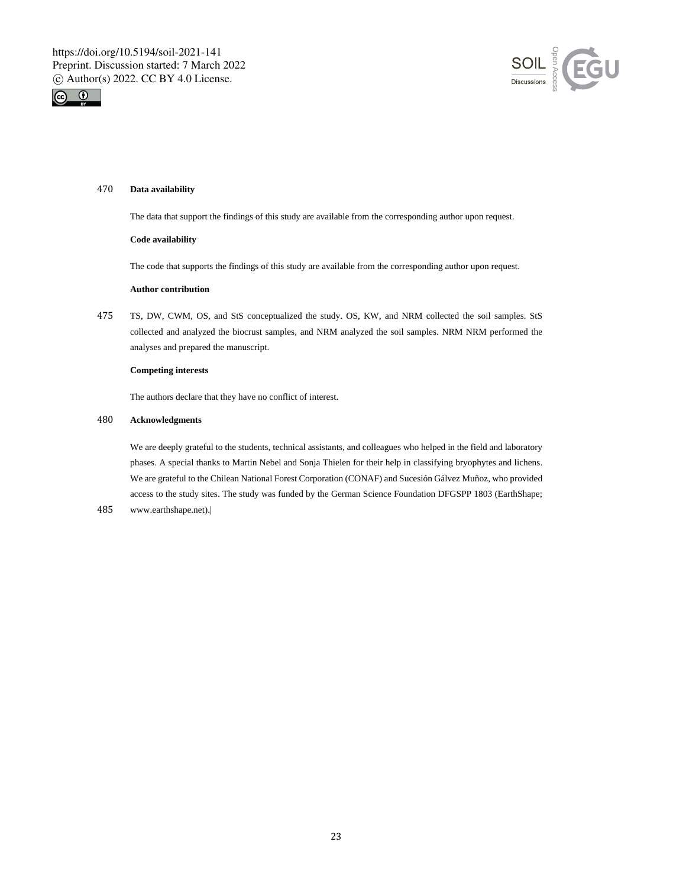



## 470 **Data availability**

The data that support the findings of this study are available from the corresponding author upon request.

#### **Code availability**

The code that supports the findings of this study are available from the corresponding author upon request.

## **Author contribution**

475 TS, DW, CWM, OS, and StS conceptualized the study. OS, KW, and NRM collected the soil samples. StS collected and analyzed the biocrust samples, and NRM analyzed the soil samples. NRM NRM performed the analyses and prepared the manuscript.

## **Competing interests**

The authors declare that they have no conflict of interest.

## 480 **Acknowledgments**

We are deeply grateful to the students, technical assistants, and colleagues who helped in the field and laboratory phases. A special thanks to Martin Nebel and Sonja Thielen for their help in classifying bryophytes and lichens. We are grateful to the Chilean National Forest Corporation (CONAF) and Sucesión Gálvez Muñoz, who provided access to the study sites. The study was funded by the German Science Foundation DFGSPP 1803 (EarthShape;

485 www.earthshape.net).|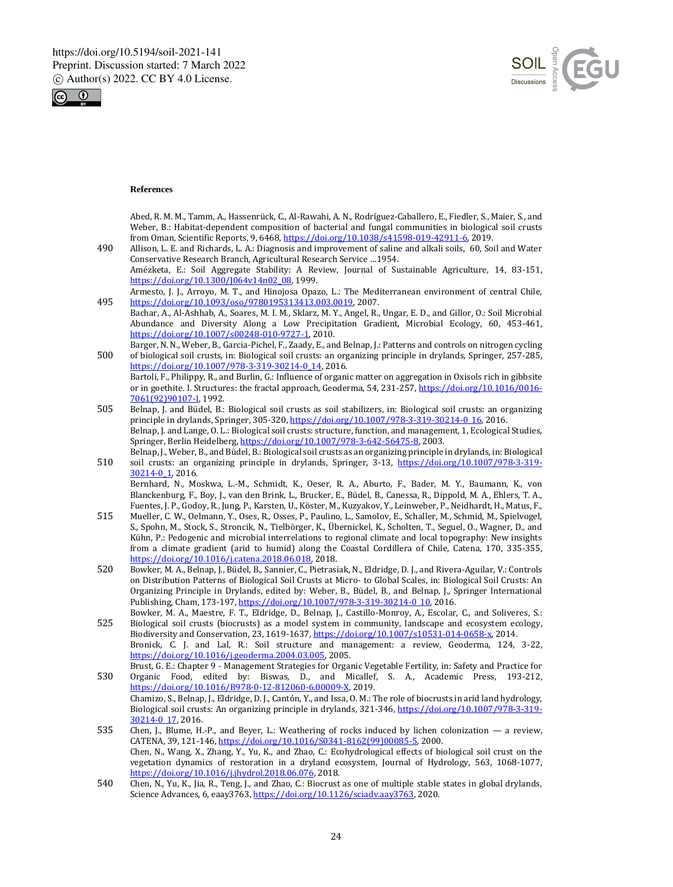



## **References**

Abed, R. M. M., Tamm, A., Hassenrück, C., Al-Rawahi, A. N., Rodríguez-Caballero, E., Fiedler, S., Maier, S., and Weber, B.: Habitat-dependent composition of bacterial and fungal communities in biological soil crusts from Oman, Scientific Reports, 9, 6468, https://doi.org/10.1038/s41598-019-42911-6, 2019.

- 490 Allison, L. E. and Richards, L. A.: Diagnosis and improvement of saline and alkali soils, 60, Soil and Water Conservative Research Branch, Agricultural Research Service …1954. Amézketa, E.: Soil Aggregate Stability: A Review, Journal of Sustainable Agriculture, 14, 83-151, https://doi.org/10.1300/J064v14n02\_08, 1999.
- Armesto, J. J., Arroyo, M. T., and Hinojosa Opazo, L.: The Mediterranean environment of central Chile, 495 https://doi.org/10.1093/oso/9780195313413.003.0019, 2007.
- Bachar, A., Al-Ashhab, A., Soares, M. I. M., Sklarz, M. Y., Angel, R., Ungar, E. D., and Gillor, O.: Soil Microbial Abundance and Diversity Along a Low Precipitation Gradient, Microbial Ecology, 60, 453-461, https://doi.org/10.1007/s00248-010-9727-1, 2010.
- Barger, N. N., Weber, B., Garcia-Pichel, F., Zaady, E., and Belnap, J.: Patterns and controls on nitrogen cycling 500 of biological soil crusts, in: Biological soil crusts: an organizing principle in drylands, Springer, 257-285, https://doi.org/10.1007/978-3-319-30214-0\_14, 2016.
	- Bartoli, F., Philippy, R., and Burlin, G.: Influence of organic matter on aggregation in Oxisols rich in gibbsite or in goethite. I. Structures: the fractal approach, Geoderma, 54, 231-257, https://doi.org/10.1016/0016- 7061(92)90107-I, 1992.
- 505 Belnap, J. and Büdel, B.: Biological soil crusts as soil stabilizers, in: Biological soil crusts: an organizing principle in drylands, Springer, 305-320, https://doi.org/10.1007/978-3-319-30214-0\_16, 2016. Belnap, J. and Lange, O. L.: Biological soil crusts: structure, function, and management, 1, Ecological Studies, Springer, Berlin Heidelberg, https://doi.org/10.1007/978-3-642-56475-8, 2003.
- Belnap, J., Weber, B., and Büdel, B.: Biological soil crusts as an organizing principle in drylands, in: Biological 510 soil crusts: an organizing principle in drylands, Springer, 3-13, https://doi.org/10.1007/978-3-319- 30214-0\_1, 2016.

Bernhard, N., Moskwa, L.-M., Schmidt, K., Oeser, R. A., Aburto, F., Bader, M. Y., Baumann, K., von Blanckenburg, F., Boy, J., van den Brink, L., Brucker, E., Büdel, B., Canessa, R., Dippold, M. A., Ehlers, T. A., Fuentes, J. P., Godoy, R., Jung, P., Karsten, U., Köster, M., Kuzyakov, Y., Leinweber, P., Neidhardt, H., Matus, F.,

- 515 Mueller, C. W., Oelmann, Y., Oses, R., Osses, P., Paulino, L., Samolov, E., Schaller, M., Schmid, M., Spielvogel, S., Spohn, M., Stock, S., Stroncik, N., Tielbörger, K., Übernickel, K., Scholten, T., Seguel, O., Wagner, D., and Kühn, P.: Pedogenic and microbial interrelations to regional climate and local topography: New insights from a climate gradient (arid to humid) along the Coastal Cordillera of Chile, Catena, 170, 335-355, https://doi.org/10.1016/j.catena.2018.06.018, 2018.
- 520 Bowker, M. A., Belnap, J., Büdel, B., Sannier, C., Pietrasiak, N., Eldridge, D. J., and Rivera-Aguilar, V.: Controls on Distribution Patterns of Biological Soil Crusts at Micro- to Global Scales, in: Biological Soil Crusts: An Organizing Principle in Drylands, edited by: Weber, B., Büdel, B., and Belnap, J., Springer International Publishing, Cham, 173-197, https://doi.org/10.1007/978-3-319-30214-0\_10, 2016.
- Bowker, M. A., Maestre, F. T., Eldridge, D., Belnap, J., Castillo-Monroy, A., Escolar, C., and Soliveres, S.: 525 Biological soil crusts (biocrusts) as a model system in community, landscape and ecosystem ecology, Biodiversity and Conservation, 23, 1619-1637, https://doi.org/10.1007/s10531-014-0658-x, 2014. Bronick, C. J. and Lal, R.: Soil structure and management: a review, Geoderma, 124, 3-22, https://doi.org/10.1016/j.geoderma.2004.03.005, 2005.
- Brust, G. E.: Chapter 9 Management Strategies for Organic Vegetable Fertility, in: Safety and Practice for 530 Organic Food, edited by: Biswas, D., and Micallef, S. A., Academic Press, 193-212, https://doi.org/10.1016/B978-0-12-812060-6.00009-X, 2019. Chamizo, S., Belnap, J., Eldridge, D. J., Cantón, Y., and Issa, O. M.: The role of biocrusts in arid land hydrology,
- Biological soil crusts: An organizing principle in drylands, 321-346, https://doi.org/10.1007/978-3-319- 30214-0\_17, 2016. 535 Chen, J., Blume, H.-P., and Beyer, L.: Weathering of rocks induced by lichen colonization — a review,
- CATENA, 39, 121-146, https://doi.org/10.1016/S0341-8162(99)00085-5, 2000. Chen, N., Wang, X., Zhang, Y., Yu, K., and Zhao, C.: Ecohydrological effects of biological soil crust on the vegetation dynamics of restoration in a dryland ecosystem, Journal of Hydrology, 563, 1068-1077, https://doi.org/10.1016/j.jhydrol.2018.06.076, 2018.
- 540 Chen, N., Yu, K., Jia, R., Teng, J., and Zhao, C.: Biocrust as one of multiple stable states in global drylands, Science Advances, 6, eaay3763, https://doi.org/10.1126/sciadv.aay3763, 2020.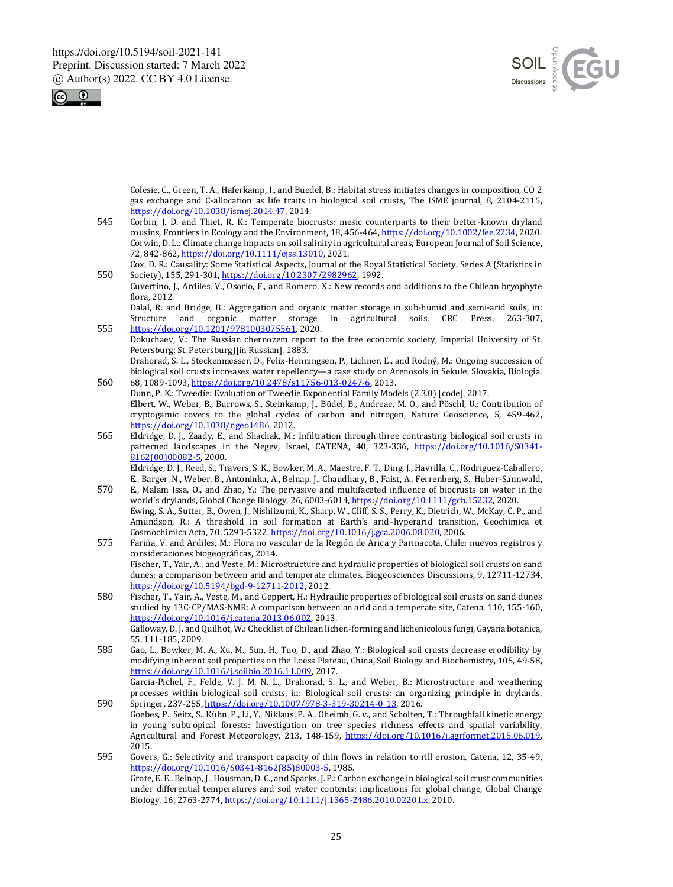



Colesie, C., Green, T. A., Haferkamp, I., and Buedel, B.: Habitat stress initiates changes in composition, CO 2 gas exchange and C-allocation as life traits in biological soil crusts, The ISME journal, 8, 2104-2115, https://doi.org/10.1038/ismej.2014.47, 2014.

545 Corbin, J. D. and Thiet, R. K.: Temperate biocrusts: mesic counterparts to their better-known dryland cousins, Frontiers in Ecology and the Environment, 18, 456-464, https://doi.org/10.1002/fee.2234, 2020. Corwin, D. L.: Climate change impacts on soil salinity in agricultural areas, European Journal of Soil Science, 72, 842-862, https://doi.org/10.1111/ejss.13010, 2021.

Cox, D. R.: Causality: Some Statistical Aspects, Journal of the Royal Statistical Society. Series A (Statistics in 550 Society), 155, 291-301, https://doi.org/10.2307/2982962, 1992.

Cuvertino, J., Ardiles, V., Osorio, F., and Romero, X.: New records and additions to the Chilean bryophyte flora, 2012.

Dalal, R. and Bridge, B.: Aggregation and organic matter storage in sub-humid and semi-arid soils, in: Structure and organic matter storage in agricultural soils, CRC Press, 263-307, 555 https://doi.org/10.1201/9781003075561, 2020.

- Dokuchaev, V.: The Russian chernozem report to the free economic society, Imperial University of St. Petersburg: St. Petersburg)[in Russian], 1883.
- Drahorad, S. L., Steckenmesser, D., Felix-Henningsen, P., Lichner, Ľ., and Rodný, M.: Ongoing succession of biological soil crusts increases water repellency—a case study on Arenosols in Sekule, Slovakia, Biologia, 560 68, 1089-1093, https://doi.org/10.2478/s11756-013-0247-6, 2013.
- Dunn, P. K.: Tweedie: Evaluation of Tweedie Exponential Family Models (2.3.0) [code], 2017. Elbert, W., Weber, B., Burrows, S., Steinkamp, J., Büdel, B., Andreae, M. O., and Pöschl, U.: Contribution of cryptogamic covers to the global cycles of carbon and nitrogen, Nature Geoscience, 5, 459-462, https://doi.org/10.1038/ngeo1486, 2012.
- 565 Eldridge, D. J., Zaady, E., and Shachak, M.: Infiltration through three contrasting biological soil crusts in patterned landscapes in the Negev, Israel, CATENA, 40, 323-336, https://doi.org/10.1016/S0341-8162(00)00082-5, 2000. Eldridge, D. J., Reed, S., Travers, S. K., Bowker, M. A., Maestre, F. T., Ding, J., Havrilla, C., Rodriguez-Caballero,

E., Barger, N., Weber, B., Antoninka, A., Belnap, J., Chaudhary, B., Faist, A., Ferrenberg, S., Huber-Sannwald, 570 E., Malam Issa, O., and Zhao, Y.: The pervasive and multifaceted influence of biocrusts on water in the

- world's drylands, Global Change Biology, 26, 6003-6014, https://doi.org/10.1111/gcb.15232, 2020. Ewing, S. A., Sutter, B., Owen, J., Nishiizumi, K., Sharp, W., Cliff, S. S., Perry, K., Dietrich, W., McKay, C. P., and Amundson, R.: A threshold in soil formation at Earth's arid–hyperarid transition, Geochimica et Cosmochimica Acta, 70, 5293-5322, https://doi.org/10.1016/j.gca.2006.08.020, 2006.
- 575 Fariña, V. and Ardiles, M.: Flora no vascular de la Región de Arica y Parinacota, Chile: nuevos registros y consideraciones biogeográficas, 2014. Fischer, T., Yair, A., and Veste, M.: Microstructure and hydraulic properties of biological soil crusts on sand dunes: a comparison between arid and temperate climates, Biogeosciences Discussions, 9, 12711-12734, https://doi.org/10.5194/bgd-9-12711-2012, 2012.
- 580 Fischer, T., Yair, A., Veste, M., and Geppert, H.: Hydraulic properties of biological soil crusts on sand dunes studied by 13C-CP/MAS-NMR: A comparison between an arid and a temperate site, Catena, 110, 155-160, https://doi.org/10.1016/j.catena.2013.06.002, 2013. Galloway, D. J. and Quilhot, W.: Checklist of Chilean lichen-forming and lichenicolous fungi, Gayana botanica,

55, 111-185, 2009. 585 Gao, L., Bowker, M. A., Xu, M., Sun, H., Tuo, D., and Zhao, Y.: Biological soil crusts decrease erodibility by

modifying inherent soil properties on the Loess Plateau, China, Soil Biology and Biochemistry, 105, 49-58, https://doi.org/10.1016/j.soilbio.2016.11.009, 2017.

Garcia-Pichel, F., Felde, V. J. M. N. L., Drahorad, S. L., and Weber, B.: Microstructure and weathering processes within biological soil crusts, in: Biological soil crusts: an organizing principle in drylands, 590 Springer, 237-255, https://doi.org/10.1007/978-3-319-30214-0\_13, 2016.

- Goebes, P., Seitz, S., Kühn, P., Li, Y., Niklaus, P. A., Oheimb, G. v., and Scholten, T.: Throughfall kinetic energy in young subtropical forests: Investigation on tree species richness effects and spatial variability, Agricultural and Forest Meteorology, 213, 148-159, https://doi.org/10.1016/j.agrformet.2015.06.019, 2015.
- 595 Govers, G.: Selectivity and transport capacity of thin flows in relation to rill erosion, Catena, 12, 35-49, https://doi.org/10.1016/S0341-8162(85)80003-5, 1985. Grote, E. E., Belnap, J., Housman, D. C., and Sparks, J. P.: Carbon exchange in biological soil crust communities under differential temperatures and soil water contents: implications for global change, Global Change Biology, 16, 2763-2774, https://doi.org/10.1111/j.1365-2486.2010.02201.x, 2010.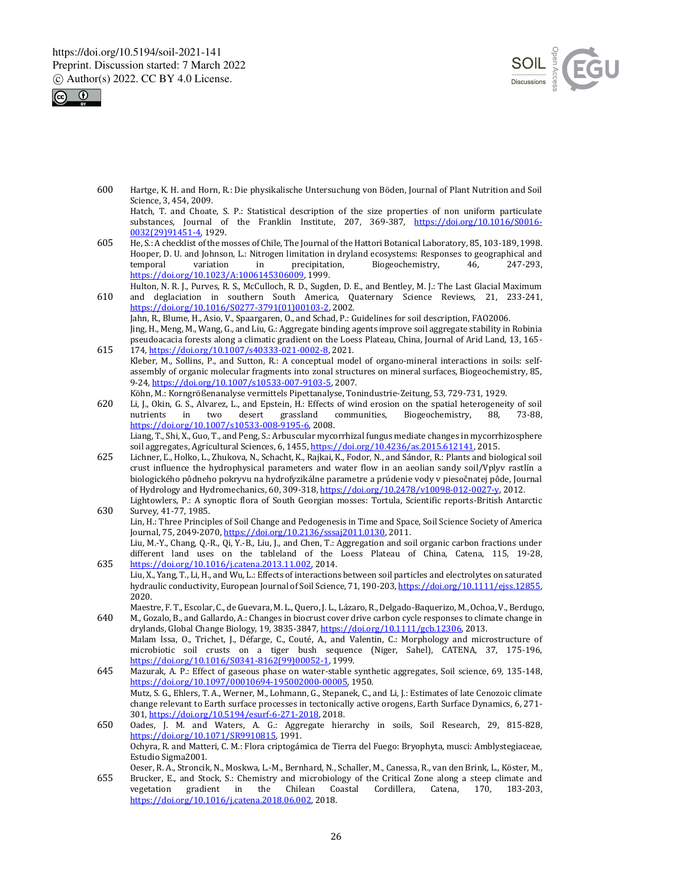



600 Hartge, K. H. and Horn, R.: Die physikalische Untersuchung von Böden, Journal of Plant Nutrition and Soil Science, 3, 454, 2009.

Hatch, T. and Choate, S. P.: Statistical description of the size properties of non uniform particulate substances, Journal of the Franklin Institute, 207, 369-387, https://doi.org/10.1016/S0016- 0032(29)91451-4, 1929.

605 He, S.: A checklist of the mosses of Chile, The Journal of the Hattori Botanical Laboratory, 85, 103-189, 1998. Hooper, D. U. and Johnson, L.: Nitrogen limitation in dryland ecosystems: Responses to geographical and temporal variation in precipitation, Biogeochemistry, 46, 247-293, Biogeochemistry, https://doi.org/10.1023/A:1006145306009, 1999.

Hulton, N. R. J., Purves, R. S., McCulloch, R. D., Sugden, D. E., and Bentley, M. J.: The Last Glacial Maximum 610 and deglaciation in southern South America, Quaternary Science Reviews, 21, 233-241, https://doi.org/10.1016/S0277-3791(01)00103-2, 2002. Jahn, R., Blume, H., Asio, V., Spaargaren, O., and Schad, P.: Guidelines for soil description, FAO2006.

- Jing, H., Meng, M., Wang, G., and Liu, G.: Aggregate binding agents improve soil aggregate stability in Robinia pseudoacacia forests along a climatic gradient on the Loess Plateau, China, Journal of Arid Land, 13, 165- 615 174, https://doi.org/10.1007/s40333-021-0002-8, 2021.
- Kleber, M., Sollins, P., and Sutton, R.: A conceptual model of organo-mineral interactions in soils: selfassembly of organic molecular fragments into zonal structures on mineral surfaces, Biogeochemistry, 85, 9-24, https://doi.org/10.1007/s10533-007-9103-5, 2007.

Köhn, M.: Korngrößenanalyse vermittels Pipettanalyse, Tonindustrie-Zeitung, 53, 729-731, 1929.

620 Li, J., Okin, G. S., Alvarez, L., and Epstein, H.: Effects of wind erosion on the spatial heterogeneity of soil two desert grassland https://doi.org/10.1007/s10533-008-9195-6, 2008. Liang, T., Shi, X., Guo, T., and Peng, S.: Arbuscular mycorrhizal fungus mediate changes in mycorrhizosphere

soil aggregates, Agricultural Sciences, 6, 1455, https://doi.org/10.4236/as.2015.612141, 2015.

- 625 Lichner, Ľ., Holko, L., Zhukova, N., Schacht, K., Rajkai, K., Fodor, N., and Sándor, R.: Plants and biological soil crust influence the hydrophysical parameters and water flow in an aeolian sandy soil/Vplyv rastlín a biologického pôdneho pokryvu na hydrofyzikálne parametre a prúdenie vody v piesočnatej pôde, Journal of Hydrology and Hydromechanics, 60, 309-318, https://doi.org/10.2478/v10098-012-0027-y, 2012.
- Lightowlers, P.: A synoptic flora of South Georgian mosses: Tortula, Scientific reports-British Antarctic 630 Survey, 41-77, 1985. Lin, H.: Three Principles of Soil Change and Pedogenesis in Time and Space, Soil Science Society of America

Journal, 75, 2049-2070, https://doi.org/10.2136/sssaj2011.0130, 2011.

Liu, M.-Y., Chang, Q.-R., Qi, Y.-B., Liu, J., and Chen, T.: Aggregation and soil organic carbon fractions under different land uses on the tableland of the Loess Plateau of China, Catena, 115, 19-28, 635 https://doi.org/10.1016/j.catena.2013.11.002, 2014.

- Liu, X., Yang, T., Li, H., and Wu, L.: Effects of interactions between soil particles and electrolytes on saturated hydraulic conductivity, European Journal of Soil Science, 71, 190-203, https://doi.org/10.1111/ejss.12855, 2020.
- Maestre, F. T., Escolar, C., de Guevara, M. L., Quero, J. L., Lázaro, R., Delgado-Baquerizo, M., Ochoa, V., Berdugo, 640 M., Gozalo, B., and Gallardo, A.: Changes in biocrust cover drive carbon cycle responses to climate change in drylands, Global Change Biology, 19, 3835-3847, https://doi.org/10.1111/gcb.12306, 2013. Malam Issa, O., Trichet, J., Défarge, C., Couté, A., and Valentin, C.: Morphology and microstructure of microbiotic soil crusts on a tiger bush sequence (Niger, Sahel), CATENA, 37, 175-196,
- https://doi.org/10.1016/S0341-8162(99)00052-1, 1999. 645 Mazurak, A. P.: Effect of gaseous phase on water-stable synthetic aggregates, Soil science, 69, 135-148, https://doi.org/10.1097/00010694-195002000-00005, 1950. Mutz, S. G., Ehlers, T. A., Werner, M., Lohmann, G., Stepanek, C., and Li, J.: Estimates of late Cenozoic climate

change relevant to Earth surface processes in tectonically active orogens, Earth Surface Dynamics, 6, 271- 301, https://doi.org/10.5194/esurf-6-271-2018, 2018.

650 Oades, J. M. and Waters, A. G.: Aggregate hierarchy in soils, Soil Research, 29, 815-828, https://doi.org/10.1071/SR9910815, 1991. Ochyra, R. and Matteri, C. M.: Flora criptogámica de Tierra del Fuego: Bryophyta, musci: Amblystegiaceae,

Estudio Sigma2001.

Oeser, R. A., Stroncik, N., Moskwa, L.-M., Bernhard, N., Schaller, M., Canessa, R., van den Brink, L., Köster, M., 655 Brucker, E., and Stock, S.: Chemistry and microbiology of the Critical Zone along a steep climate and vegetation gradient in the Chilean Coastal Cordillera, Catena, 170, 183-203, https://doi.org/10.1016/j.catena.2018.06.002, 2018.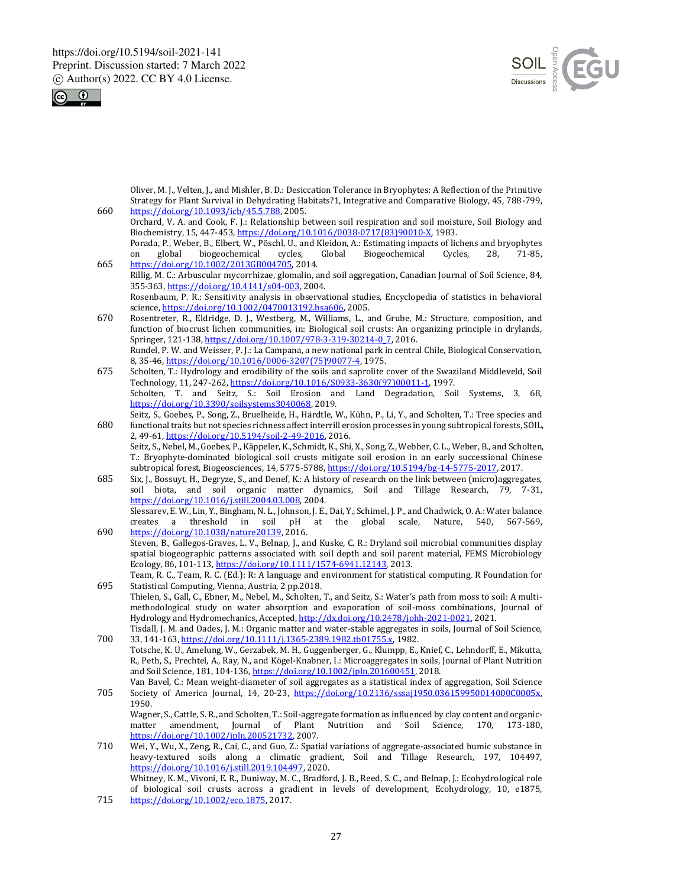



Oliver, M. J., Velten, J., and Mishler, B. D.: Desiccation Tolerance in Bryophytes: A Reflection of the Primitive Strategy for Plant Survival in Dehydrating Habitats?1, Integrative and Comparative Biology, 45, 788-799, 660 https://doi.org/10.1093/icb/45.5.788, 2005.

- Orchard, V. A. and Cook, F. J.: Relationship between soil respiration and soil moisture, Soil Biology and Biochemistry, 15, 447-453, https://doi.org/10.1016/0038-0717(83)90010-X, 1983. Porada, P., Weber, B., Elbert, W., Pöschl, U., and Kleidon, A.: Estimating impacts of lichens and bryophytes on global biogeochemical cycles, Global Biogeochemical Cycles, 28, 71-85,
- 665 https://doi.org/10.1002/2013GB004705, 2014. Rillig, M. C.: Arbuscular mycorrhizae, glomalin, and soil aggregation, Canadian Journal of Soil Science, 84, 355-363, https://doi.org/10.4141/s04-003, 2004. Rosenbaum, P. R.: Sensitivity analysis in observational studies, Encyclopedia of statistics in behavioral science, https://doi.org/10.1002/0470013192.bsa606, 2005.
- 670 Rosentreter, R., Eldridge, D. J., Westberg, M., Williams, L., and Grube, M.: Structure, composition, and function of biocrust lichen communities, in: Biological soil crusts: An organizing principle in drylands, Springer, 121-138, https://doi.org/10.1007/978-3-319-30214-0\_7, 2016. Rundel, P. W. and Weisser, P. J.: La Campana, a new national park in central Chile, Biological Conservation, 8, 35-46, https://doi.org/10.1016/0006-3207(75)90077-4, 1975.
- 675 Scholten, T.: Hydrology and erodibility of the soils and saprolite cover of the Swaziland Middleveld, Soil Technology, 11, 247-262, https://doi.org/10.1016/S0933-3630(97)00011-1, 1997. Scholten, T. and Seitz, S.: Soil Erosion and Land Degradation, Soil Systems, 3, 68, https://doi.org/10.3390/soilsystems3040068, 2019.
- Seitz, S., Goebes, P., Song, Z., Bruelheide, H., Härdtle, W., Kühn, P., Li, Y., and Scholten, T.: Tree species and 680 functional traits but not species richness affect interrill erosion processes in young subtropical forests, SOIL, 2, 49-61, https://doi.org/10.5194/soil-2-49-2016, 2016. Seitz, S., Nebel, M., Goebes, P., Käppeler, K., Schmidt, K., Shi, X., Song, Z., Webber, C. L., Weber, B., and Scholten,

T.: Bryophyte-dominated biological soil crusts mitigate soil erosion in an early successional Chinese subtropical forest, Biogeosciences, 14, 5775-5788, https://doi.org/10.5194/bg-14-5775-2017, 2017.

- 685 Six, J., Bossuyt, H., Degryze, S., and Denef, K.: A history of research on the link between (micro)aggregates, soil biota, and soil organic matter dynamics, Soil and Tillage Research, 79, 7-31, https://doi.org/10.1016/j.still.2004.03.008, 2004.
- Slessarev, E. W., Lin, Y., Bingham, N. L., Johnson, J. E., Dai, Y., Schimel, J. P., and Chadwick, O. A.: Water balance creates a threshold in soil pH at the global scale, Nature, 540, 567-569, at the global scale, Nature, 540, 567-569, 690 https://doi.org/10.1038/nature20139, 2016.
- Steven, B., Gallegos-Graves, L. V., Belnap, J., and Kuske, C. R.: Dryland soil microbial communities display spatial biogeographic patterns associated with soil depth and soil parent material, FEMS Microbiology Ecology, 86, 101-113, https://doi.org/10.1111/1574-6941.12143, 2013.
- Team, R. C., Team, R. C. (Ed.): R: A language and environment for statistical computing, R Foundation for 695 Statistical Computing, Vienna, Austria, 2 pp.2018.
- Thielen, S., Gall, C., Ebner, M., Nebel, M., Scholten, T., and Seitz, S.: Water's path from moss to soil: A multimethodological study on water absorption and evaporation of soil-moss combinations, Journal of Hydrology and Hydromechanics, Accepted, http://dx.doi.org/10.2478/johh-2021-0021, 2021.
- Tisdall, J. M. and Oades, J. M.: Organic matter and water-stable aggregates in soils, Journal of Soil Science, 700 33, 141-163, https://doi.org/10.1111/j.1365-2389.1982.tb01755.x, 1982.
- Totsche, K. U., Amelung, W., Gerzabek, M. H., Guggenberger, G., Klumpp, E., Knief, C., Lehndorff, E., Mikutta, R., Peth, S., Prechtel, A., Ray, N., and Kögel-Knabner, I.: Microaggregates in soils, Journal of Plant Nutrition and Soil Science, 181, 104-136, https://doi.org/10.1002/jpln.201600451, 2018.
- Van Bavel, C.: Mean weight-diameter of soil aggregates as a statistical index of aggregation, Soil Science 705 Society of America Journal, 14, 20-23, https://doi.org/10.2136/sssaj1950.036159950014000C0005x, 1950.

Wagner, S., Cattle, S. R., and Scholten, T.: Soil-aggregate formation as influenced by clay content and organic-<br>matter amendment, Journal of Plant Nutrition and Soil Science, 170, 173-180, Mutrition and Soil Science, 170, 173-180, https://doi.org/10.1002/jpln.200521732, 2007.

- 710 Wei, Y., Wu, X., Zeng, R., Cai, C., and Guo, Z.: Spatial variations of aggregate-associated humic substance in heavy-textured soils along a climatic gradient, Soil and Tillage Research, 197, 104497, https://doi.org/10.1016/j.still.2019.104497, 2020. Whitney, K. M., Vivoni, E. R., Duniway, M. C., Bradford, J. B., Reed, S. C., and Belnap, J.: Ecohydrological role of biological soil crusts across a gradient in levels of development, Ecohydrology, 10, e1875,
- 715 https://doi.org/10.1002/eco.1875, 2017.